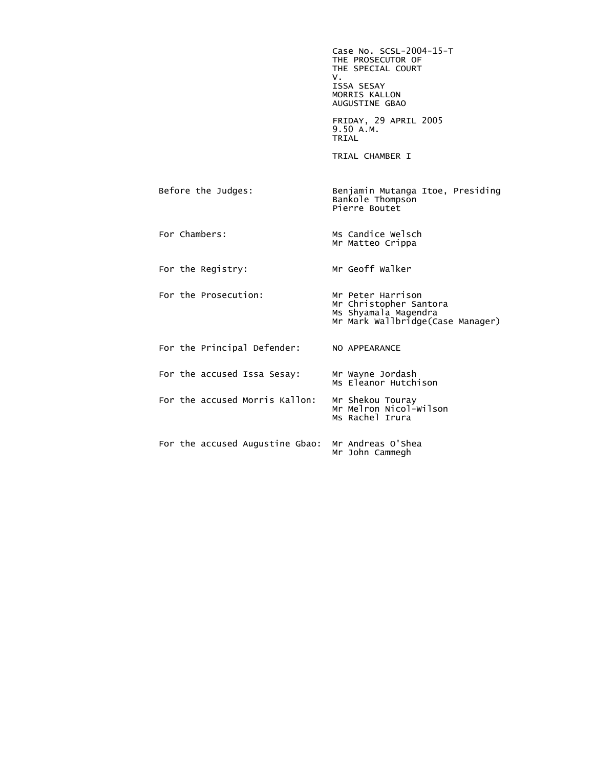Case No. SCSL-2004-15-T THE PROSECUTOR OF THE SPECIAL COURT<br>V. V. ISSA SESAY MORRIS KALLON AUGUSTINE GBAO FRIDAY, 29 APRIL 2005 9.50 A.M. **TRIAL**  TRIAL CHAMBER I Before the Judges: Benjamin Mutanga Itoe, Presiding Bankole Thompson Pierre Boutet For Chambers: Ms Candice Welsch Mr Matteo Crippa For the Registry: Mr Geoff Walker For the Prosecution: Mr Peter Harrison Mr Christopher Santora Ms Shyamala Magendra Mr Mark Wallbridge(Case Manager) For the Principal Defender: NO APPEARANCE For the accused Issa Sesay: Mr Wayne Jordash Ms Eleanor Hutchison For the accused Morris Kallon: Mr Shekou Touray<br>Mr Melron Nicol-Wilson Ms Rachel Irura For the accused Augustine Gbao: Mr Andreas O'Shea Mr John Cammegh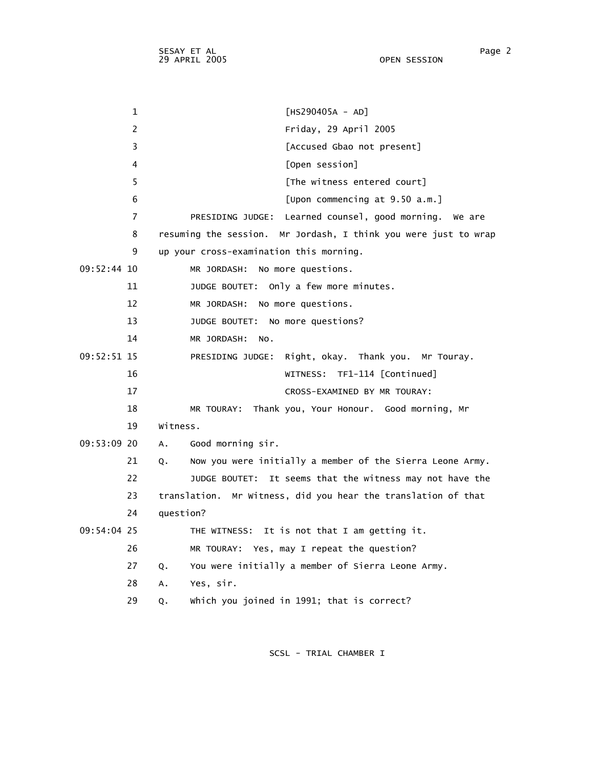1 [HS290405A - AD] 2 Friday, 29 April 2005 3 [Accused Gbao not present] 4 [Open session] 5 [The witness entered court] 6 [Upon commencing at 9.50 a.m.] 7 PRESIDING JUDGE: Learned counsel, good morning. We are 8 resuming the session. Mr Jordash, I think you were just to wrap 9 up your cross-examination this morning. 09:52:44 10 MR JORDASH: No more questions. 11 JUDGE BOUTET: Only a few more minutes. 12 MR JORDASH: No more questions. 13 JUDGE BOUTET: No more questions? 14 MR JORDASH: No. 09:52:51 15 PRESIDING JUDGE: Right, okay. Thank you. Mr Touray. 16 WITNESS: TF1-114 [Continued] 17 CROSS-EXAMINED BY MR TOURAY: 18 MR TOURAY: Thank you, Your Honour. Good morning, Mr 19 Witness. 09:53:09 20 A. Good morning sir. 21 Q. Now you were initially a member of the Sierra Leone Army. 22 JUDGE BOUTET: It seems that the witness may not have the 23 translation. Mr Witness, did you hear the translation of that 24 question? 09:54:04 25 THE WITNESS: It is not that I am getting it. 26 MR TOURAY: Yes, may I repeat the question? 27 Q. You were initially a member of Sierra Leone Army. 28 A. Yes, sir. 29 Q. Which you joined in 1991; that is correct?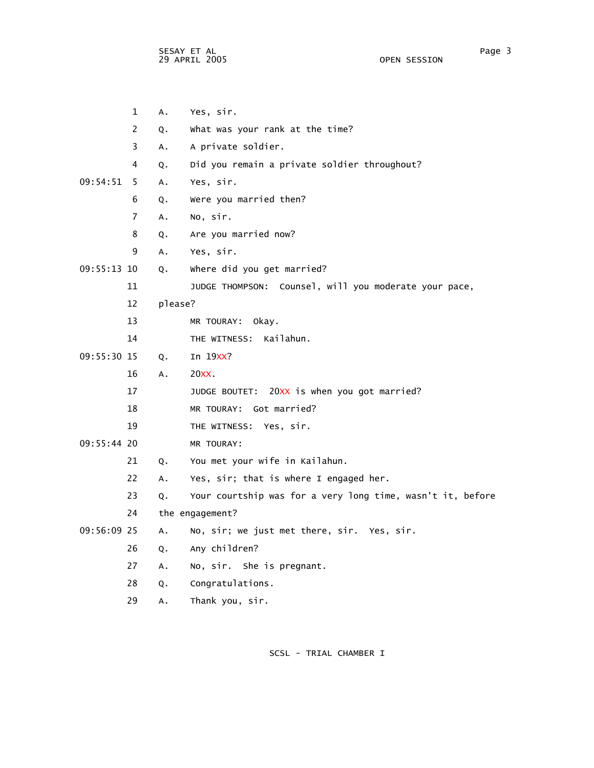SESAY ET AL Page 3 29 APRIL 2005 OPEN SESSION

|             | $\mathbf{1}$   | A.            | Yes, sir.                                                  |
|-------------|----------------|---------------|------------------------------------------------------------|
|             | $\overline{2}$ | Q.            | What was your rank at the time?                            |
|             | 3              | Α.            | A private soldier.                                         |
|             | 4              | Q.            | Did you remain a private soldier throughout?               |
| 09:54:51    | -5             | A.            | Yes, sir.                                                  |
|             | 6              | Q.            | Were you married then?                                     |
|             | $\overline{7}$ | $A_{\bullet}$ | No, sir.                                                   |
|             | 8              | Q.            | Are you married now?                                       |
|             | 9              | A.            | Yes, sir.                                                  |
| 09:55:13 10 |                | Q.            | where did you get married?                                 |
|             | 11             |               | JUDGE THOMPSON: Counsel, will you moderate your pace,      |
|             | 12             | please?       |                                                            |
|             | 13             |               | MR TOURAY: Okay.                                           |
|             | 14             |               | THE WITNESS: Kailahun.                                     |
| 09:55:30 15 |                | Q.            | In 19XX?                                                   |
|             | 16             | A.            | 20XX                                                       |
|             | 17             |               | JUDGE BOUTET: 20XX is when you got married?                |
|             | 18             |               | MR TOURAY: Got married?                                    |
|             | 19             |               | THE WITNESS: Yes, sir.                                     |
| 09:55:44 20 |                |               | MR TOURAY:                                                 |
|             | 21             | Q.            | You met your wife in Kailahun.                             |
|             | 22             | Α.            | Yes, sir; that is where I engaged her.                     |
|             | 23             | Q.            | Your courtship was for a very long time, wasn't it, before |
|             | 24             |               | the engagement?                                            |
| 09:56:09 25 |                | A.            | No, sir; we just met there, sir. Yes, sir.                 |
|             | 26             | Q.            | Any children?                                              |
|             | 27             | A.            | No, sir. She is pregnant.                                  |
|             | 28             | Q.            | Congratulations.                                           |
|             | 29             | $A_{\bullet}$ | Thank you, sir.                                            |
|             |                |               |                                                            |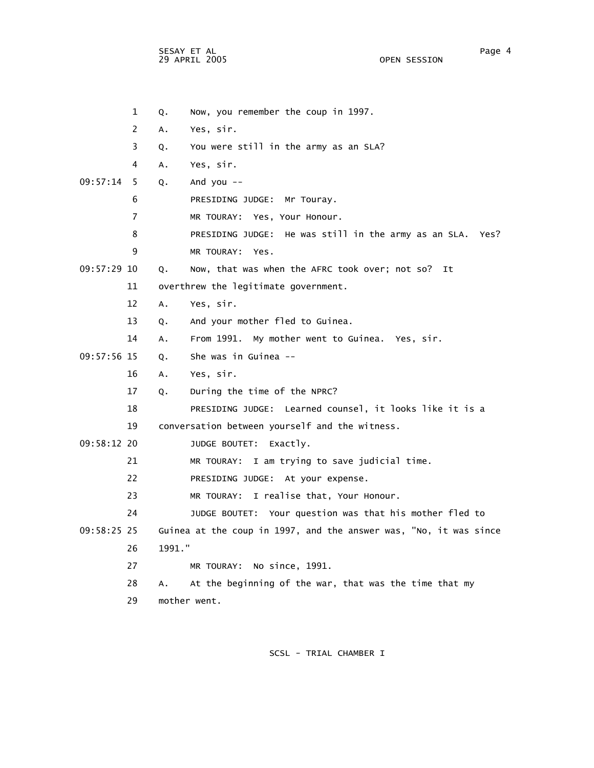SESAY ET AL Page 4 29 APRIL 2005

 1 Q. Now, you remember the coup in 1997. 2 A. Yes, sir. 3 Q. You were still in the army as an SLA? 4 A. Yes, sir. 09:57:14 5 Q. And you -- 6 PRESIDING JUDGE: Mr Touray. 7 MR TOURAY: Yes, Your Honour. 8 PRESIDING JUDGE: He was still in the army as an SLA. Yes? 9 MR TOURAY: Yes. 09:57:29 10 Q. Now, that was when the AFRC took over; not so? It 11 overthrew the legitimate government. 12 A. Yes, sir. 13 Q. And your mother fled to Guinea. 14 A. From 1991. My mother went to Guinea. Yes, sir. 09:57:56 15 Q. She was in Guinea -- 16 A. Yes, sir. 17 Q. During the time of the NPRC? 18 PRESIDING JUDGE: Learned counsel, it looks like it is a 19 conversation between yourself and the witness. 09:58:12 20 JUDGE BOUTET: Exactly. 21 MR TOURAY: I am trying to save judicial time. 22 PRESIDING JUDGE: At your expense. 23 MR TOURAY: I realise that, Your Honour. 24 JUDGE BOUTET: Your question was that his mother fled to 09:58:25 25 Guinea at the coup in 1997, and the answer was, "No, it was since 26 1991." 27 MR TOURAY: No since, 1991. 28 A. At the beginning of the war, that was the time that my 29 mother went.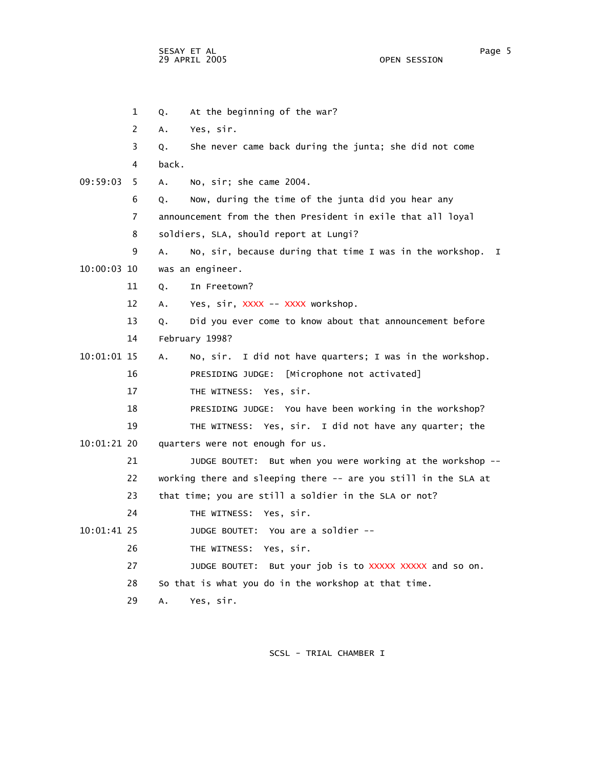SESAY ET AL Page 5 29 APRIL 2005

 1 Q. At the beginning of the war? 2 A. Yes, sir. 3 Q. She never came back during the junta; she did not come 4 back. 09:59:03 5 A. No, sir; she came 2004. 6 Q. Now, during the time of the junta did you hear any 7 announcement from the then President in exile that all loyal 8 soldiers, SLA, should report at Lungi? 9 A. No, sir, because during that time I was in the workshop. I 10:00:03 10 was an engineer. 11 Q. In Freetown? 12 A. Yes, sir, XXXX -- XXXX workshop. 13 Q. Did you ever come to know about that announcement before 14 February 1998? 10:01:01 15 A. No, sir. I did not have quarters; I was in the workshop. 16 PRESIDING JUDGE: [Microphone not activated] 17 THE WITNESS: Yes, sir. 18 PRESIDING JUDGE: You have been working in the workshop? 19 THE WITNESS: Yes, sir. I did not have any quarter; the 10:01:21 20 quarters were not enough for us. 21 JUDGE BOUTET: But when you were working at the workshop -- 22 working there and sleeping there -- are you still in the SLA at 23 that time; you are still a soldier in the SLA or not? 24 THE WITNESS: Yes, sir. 10:01:41 25 JUDGE BOUTET: You are a soldier -- 26 THE WITNESS: Yes, sir. 27 JUDGE BOUTET: But your job is to XXXXX XXXXX and so on. 28 So that is what you do in the workshop at that time. 29 A. Yes, sir.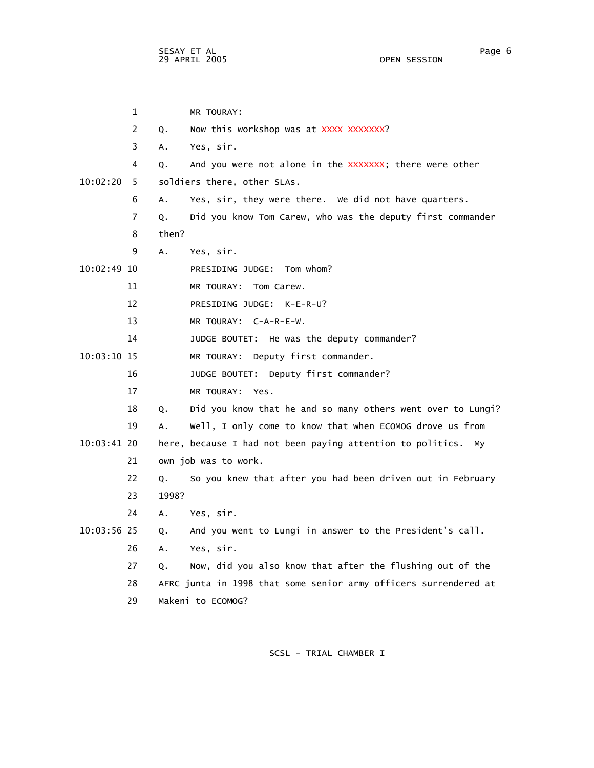1 MR TOURAY: 2 Q. Now this workshop was at XXXX XXXXXXX? 3 A. Yes, sir. 4 Q. And you were not alone in the XXXXXXX; there were other 10:02:20 5 soldiers there, other SLAs. 6 A. Yes, sir, they were there. We did not have quarters. 7 Q. Did you know Tom Carew, who was the deputy first commander 8 then? 9 A. Yes, sir. 10:02:49 10 PRESIDING JUDGE: Tom whom? 11 MR TOURAY: Tom Carew. 12 PRESIDING JUDGE: K-E-R-U? 13 MR TOURAY: C-A-R-E-W. 14 JUDGE BOUTET: He was the deputy commander? 10:03:10 15 MR TOURAY: Deputy first commander. 16 JUDGE BOUTET: Deputy first commander? 17 MR TOURAY: Yes. 18 Q. Did you know that he and so many others went over to Lungi? 19 A. Well, I only come to know that when ECOMOG drove us from 10:03:41 20 here, because I had not been paying attention to politics. My 21 own job was to work. 22 Q. So you knew that after you had been driven out in February 23 1998? 24 A. Yes, sir. 10:03:56 25 Q. And you went to Lungi in answer to the President's call. 26 A. Yes, sir. 27 Q. Now, did you also know that after the flushing out of the 28 AFRC junta in 1998 that some senior army officers surrendered at 29 Makeni to ECOMOG?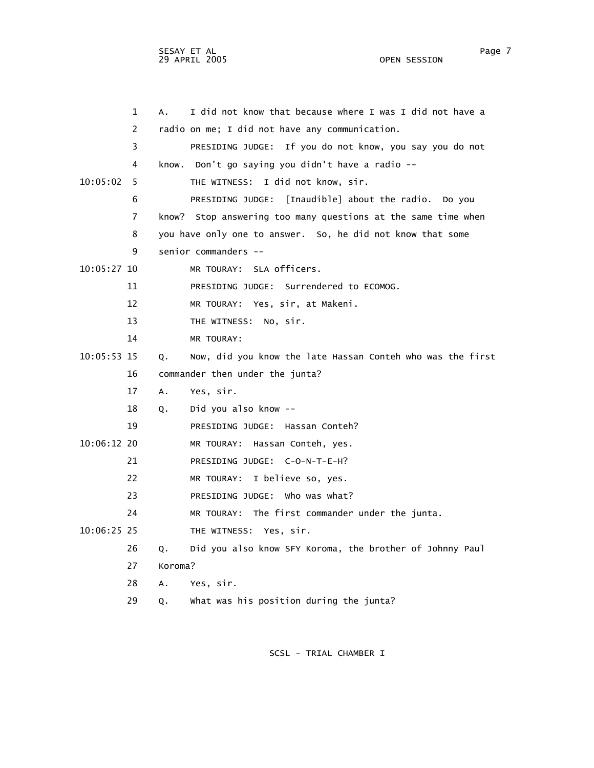SESAY ET AL Page 7 29 APRIL 2005 OPEN SESSION

|               | $\mathbf 1$    | А.      | I did not know that because where I was I did not have a      |
|---------------|----------------|---------|---------------------------------------------------------------|
|               | 2              |         | radio on me; I did not have any communication.                |
|               | 3              |         | If you do not know, you say you do not<br>PRESIDING JUDGE:    |
|               | 4              |         | know. Don't go saying you didn't have a radio --              |
| 10:05:02      | 5              |         | THE WITNESS: I did not know, sir.                             |
|               | 6              |         | PRESIDING JUDGE: [Inaudible] about the radio. Do you          |
|               | $\overline{7}$ |         | know? Stop answering too many questions at the same time when |
|               | 8              |         | you have only one to answer. So, he did not know that some    |
|               | 9              |         | senior commanders --                                          |
| 10:05:27 10   |                |         | MR TOURAY: SLA officers.                                      |
|               | 11             |         | PRESIDING JUDGE: Surrendered to ECOMOG.                       |
|               | 12             |         | MR TOURAY: Yes, sir, at Makeni.                               |
|               | 13             |         | THE WITNESS: No, sir.                                         |
|               | 14             |         | MR TOURAY:                                                    |
| 10:05:53 15   |                | Q.      | Now, did you know the late Hassan Conteh who was the first    |
|               | 16             |         | commander then under the junta?                               |
|               | 17             | A.      | Yes, sir.                                                     |
|               | 18             | Q.      | Did you also know --                                          |
|               | 19             |         | PRESIDING JUDGE: Hassan Conteh?                               |
| 10:06:12 20   |                |         | MR TOURAY: Hassan Conteh, yes.                                |
|               | 21             |         | PRESIDING JUDGE: C-O-N-T-E-H?                                 |
|               | 22             |         | MR TOURAY: I believe so, yes.                                 |
|               | 23             |         | PRESIDING JUDGE: Who was what?                                |
|               | 24             |         | MR TOURAY: The first commander under the junta.               |
| $10:06:25$ 25 |                |         | THE WITNESS: Yes, sir.                                        |
|               | 26             | Q.      | Did you also know SFY Koroma, the brother of Johnny Paul      |
|               | 27             | Koroma? |                                                               |
|               | 28             | А.      | Yes, sir.                                                     |
|               | 29             | Q.      | What was his position during the junta?                       |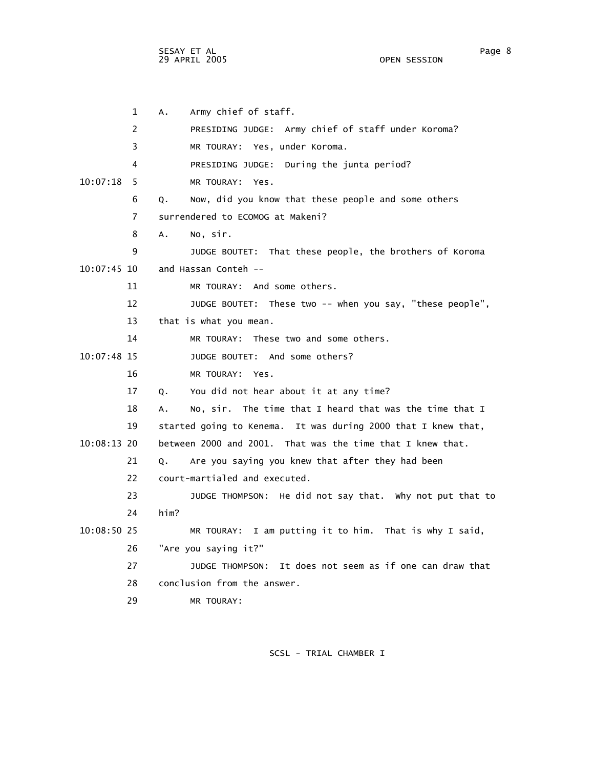SESAY ET AL Page 8 29 APRIL 2005

 1 A. Army chief of staff. 2 PRESIDING JUDGE: Army chief of staff under Koroma? 3 MR TOURAY: Yes, under Koroma. 4 PRESIDING JUDGE: During the junta period? 10:07:18 5 MR TOURAY: Yes. 6 Q. Now, did you know that these people and some others 7 surrendered to ECOMOG at Makeni? 8 A. No, sir. 9 JUDGE BOUTET: That these people, the brothers of Koroma 10:07:45 10 and Hassan Conteh -- 11 MR TOURAY: And some others. 12 JUDGE BOUTET: These two -- when you say, "these people", 13 that is what you mean. 14 MR TOURAY: These two and some others. 10:07:48 15 JUDGE BOUTET: And some others? 16 MR TOURAY: Yes. 17 Q. You did not hear about it at any time? 18 A. No, sir. The time that I heard that was the time that I 19 started going to Kenema. It was during 2000 that I knew that, 10:08:13 20 between 2000 and 2001. That was the time that I knew that. 21 Q. Are you saying you knew that after they had been 22 court-martialed and executed. 23 JUDGE THOMPSON: He did not say that. Why not put that to 24 him? 10:08:50 25 MR TOURAY: I am putting it to him. That is why I said, 26 "Are you saying it?" 27 JUDGE THOMPSON: It does not seem as if one can draw that 28 conclusion from the answer. 29 MR TOURAY: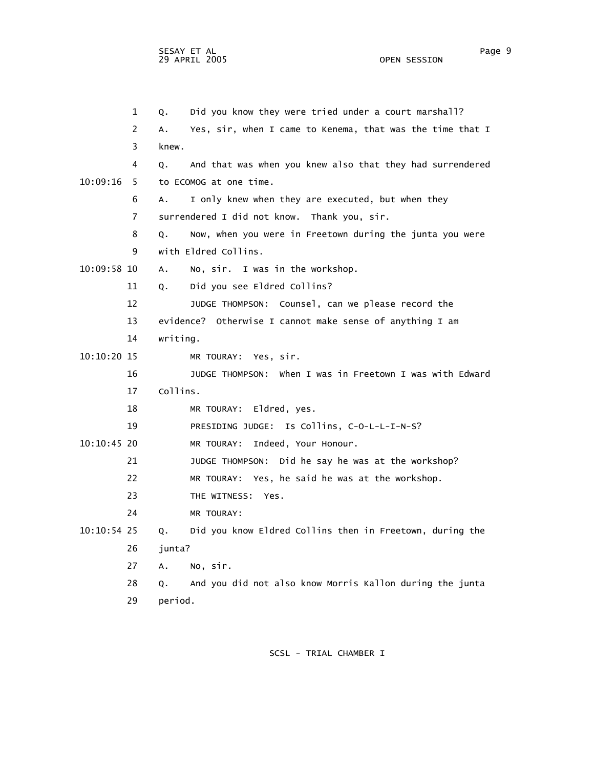1 Q. Did you know they were tried under a court marshall? 2 A. Yes, sir, when I came to Kenema, that was the time that I 3 knew. 4 Q. And that was when you knew also that they had surrendered 10:09:16 5 to ECOMOG at one time. 6 A. I only knew when they are executed, but when they 7 surrendered I did not know. Thank you, sir. 8 Q. Now, when you were in Freetown during the junta you were 9 with Eldred Collins. 10:09:58 10 A. No, sir. I was in the workshop. 11 Q. Did you see Eldred Collins? 12 JUDGE THOMPSON: Counsel, can we please record the 13 evidence? Otherwise I cannot make sense of anything I am 14 writing. 10:10:20 15 MR TOURAY: Yes, sir. 16 JUDGE THOMPSON: When I was in Freetown I was with Edward 17 Collins. 18 MR TOURAY: Eldred, yes. 19 PRESIDING JUDGE: Is Collins, C-O-L-L-I-N-S? 10:10:45 20 MR TOURAY: Indeed, Your Honour. 21 JUDGE THOMPSON: Did he say he was at the workshop? 22 MR TOURAY: Yes, he said he was at the workshop. 23 THE WITNESS: Yes. 24 MR TOURAY: 10:10:54 25 Q. Did you know Eldred Collins then in Freetown, during the 26 junta? 27 A. No, sir. 28 Q. And you did not also know Morris Kallon during the junta 29 period.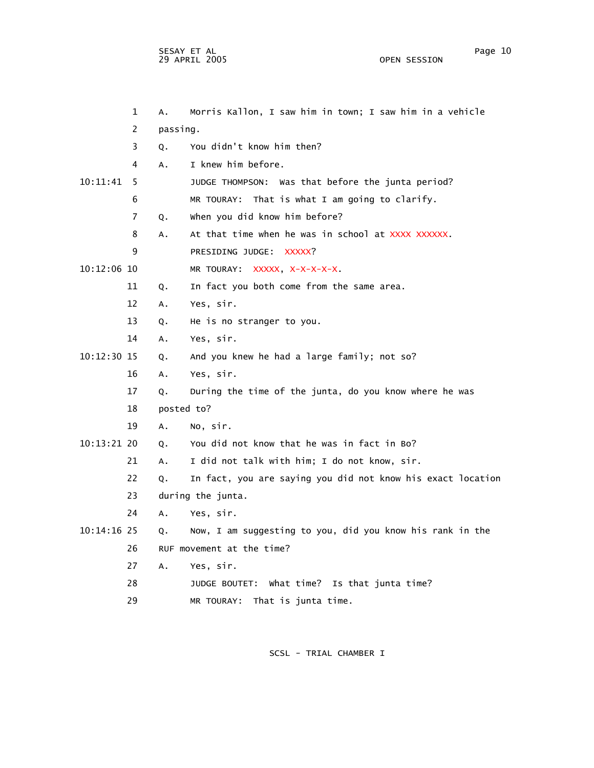SESAY ET AL Page 10 29 APRIL 2005

 1 A. Morris Kallon, I saw him in town; I saw him in a vehicle 2 passing. 3 Q. You didn't know him then? 4 A. I knew him before. 10:11:41 5 JUDGE THOMPSON: Was that before the junta period? 6 MR TOURAY: That is what I am going to clarify. 7 Q. When you did know him before? 8 A. At that time when he was in school at XXXX XXXXXX. 9 PRESIDING JUDGE: XXXXX? 10:12:06 10 MR TOURAY: XXXXX, X-X-X-X-X. 11 Q. In fact you both come from the same area. 12 A. Yes, sir. 13 Q. He is no stranger to you. 14 A. Yes, sir. 10:12:30 15 Q. And you knew he had a large family; not so? 16 A. Yes, sir. 17 Q. During the time of the junta, do you know where he was 18 posted to? 19 A. No, sir. 10:13:21 20 Q. You did not know that he was in fact in Bo? 21 A. I did not talk with him; I do not know, sir. 22 Q. In fact, you are saying you did not know his exact location 23 during the junta. 24 A. Yes, sir. 10:14:16 25 Q. Now, I am suggesting to you, did you know his rank in the 26 RUF movement at the time? 27 A. Yes, sir. 28 JUDGE BOUTET: What time? Is that junta time? 29 MR TOURAY: That is junta time.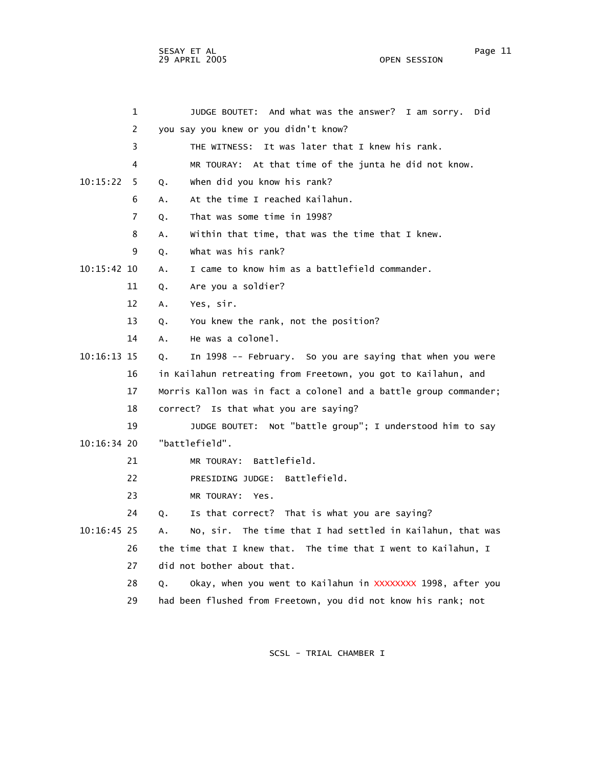SESAY ET AL Page 11 29 APRIL 2005

 1 JUDGE BOUTET: And what was the answer? I am sorry. Did 2 you say you knew or you didn't know? 3 THE WITNESS: It was later that I knew his rank. 4 MR TOURAY: At that time of the junta he did not know. 10:15:22 5 Q. When did you know his rank? 6 A. At the time I reached Kailahun. 7 Q. That was some time in 1998? 8 A. Within that time, that was the time that I knew. 9 Q. What was his rank? 10:15:42 10 A. I came to know him as a battlefield commander. 11 Q. Are you a soldier? 12 A. Yes, sir. 13 Q. You knew the rank, not the position? 14 A. He was a colonel. 10:16:13 15 Q. In 1998 -- February. So you are saying that when you were 16 in Kailahun retreating from Freetown, you got to Kailahun, and 17 Morris Kallon was in fact a colonel and a battle group commander; 18 correct? Is that what you are saying? 19 JUDGE BOUTET: Not "battle group"; I understood him to say 10:16:34 20 "battlefield". 21 MR TOURAY: Battlefield. 22 PRESIDING JUDGE: Battlefield. 23 MR TOURAY: Yes. 24 Q. Is that correct? That is what you are saying? 10:16:45 25 A. No, sir. The time that I had settled in Kailahun, that was 26 the time that I knew that. The time that I went to Kailahun, I 27 did not bother about that. 28 Q. Okay, when you went to Kailahun in XXXXXXXX 1998, after you 29 had been flushed from Freetown, you did not know his rank; not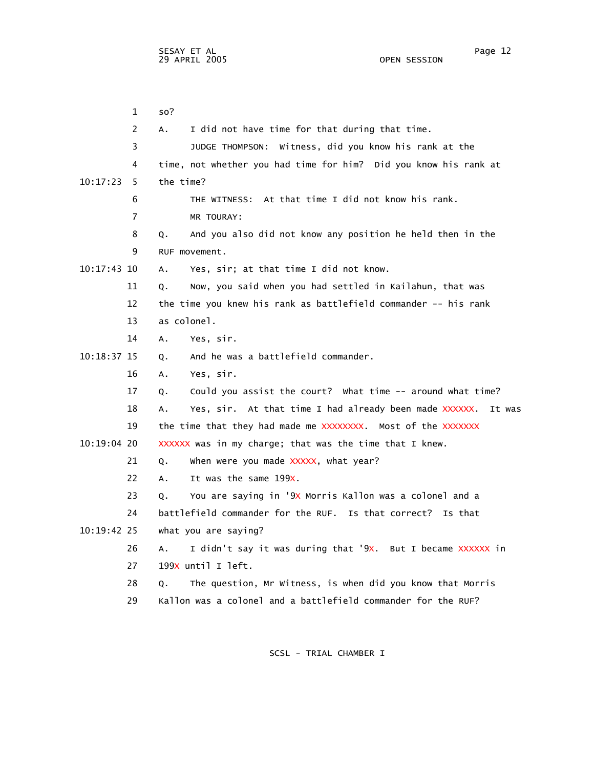1 so? 2 A. I did not have time for that during that time. 3 JUDGE THOMPSON: Witness, did you know his rank at the 4 time, not whether you had time for him? Did you know his rank at 10:17:23 5 the time? 6 THE WITNESS: At that time I did not know his rank. 7 MR TOURAY: 8 Q. And you also did not know any position he held then in the 9 RUF movement. 10:17:43 10 A. Yes, sir; at that time I did not know. 11 Q. Now, you said when you had settled in Kailahun, that was 12 the time you knew his rank as battlefield commander -- his rank 13 as colonel. 14 A. Yes, sir. 10:18:37 15 Q. And he was a battlefield commander. 16 A. Yes, sir. 17 Q. Could you assist the court? What time -- around what time? 18 A. Yes, sir. At that time I had already been made XXXXXX. It was 19 the time that they had made me XXXXXXXX. Most of the XXXXXXX 10:19:04 20 XXXXXX was in my charge; that was the time that I knew. 21  $Q.$  When were you made  $XXXX$ , what year? 22 A. It was the same 199x. 23 Q. You are saying in '9X Morris Kallon was a colonel and a 24 battlefield commander for the RUF. Is that correct? Is that 10:19:42 25 what you are saying? 26 A. I didn't say it was during that '9X. But I became XXXXXX in 27 199x until I left. 28 Q. The question, Mr Witness, is when did you know that Morris 29 Kallon was a colonel and a battlefield commander for the RUF?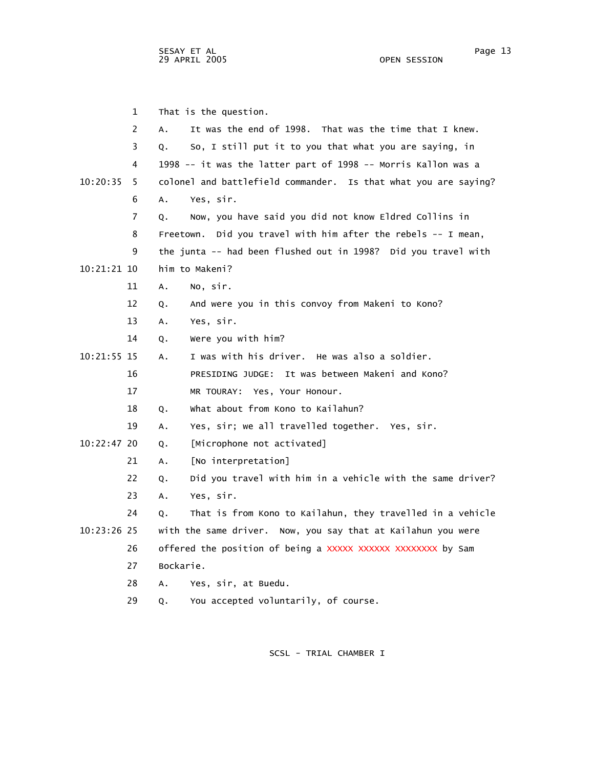1 That is the question. 2 A. It was the end of 1998. That was the time that I knew. 3 Q. So, I still put it to you that what you are saying, in 4 1998 -- it was the latter part of 1998 -- Morris Kallon was a 10:20:35 5 colonel and battlefield commander. Is that what you are saying? 6 A. Yes, sir. 7 Q. Now, you have said you did not know Eldred Collins in 8 Freetown. Did you travel with him after the rebels -- I mean, 9 the junta -- had been flushed out in 1998? Did you travel with 10:21:21 10 him to Makeni? 11 A. No, sir. 12 Q. And were you in this convoy from Makeni to Kono? 13 A. Yes, sir. 14 Q. Were you with him? 10:21:55 15 A. I was with his driver. He was also a soldier. 16 PRESIDING JUDGE: It was between Makeni and Kono? 17 MR TOURAY: Yes, Your Honour. 18 Q. What about from Kono to Kailahun? 19 A. Yes, sir; we all travelled together. Yes, sir. 10:22:47 20 Q. [Microphone not activated] 21 A. [No interpretation] 22 Q. Did you travel with him in a vehicle with the same driver? 23 A. Yes, sir. 24 Q. That is from Kono to Kailahun, they travelled in a vehicle 10:23:26 25 with the same driver. Now, you say that at Kailahun you were 26 offered the position of being a XXXXX XXXXXX XXXXXXX by Sam 27 Bockarie. 28 A. Yes, sir, at Buedu. 29 Q. You accepted voluntarily, of course.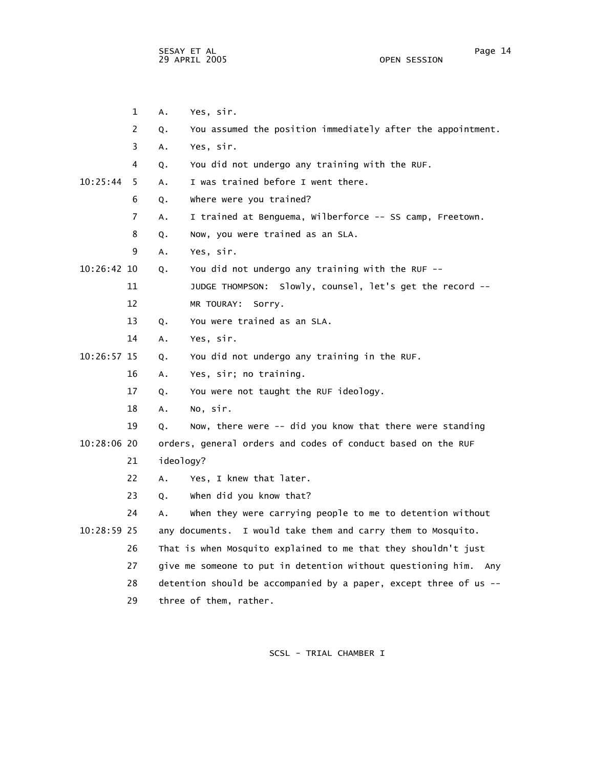SESAY ET AL Page 14 29 APRIL 2005

 1 A. Yes, sir. 2 Q. You assumed the position immediately after the appointment. 3 A. Yes, sir. 4 Q. You did not undergo any training with the RUF. 10:25:44 5 A. I was trained before I went there. 6 Q. Where were you trained? 7 A. I trained at Benguema, Wilberforce -- SS camp, Freetown. 8 Q. Now, you were trained as an SLA. 9 A. Yes, sir. 10:26:42 10 Q. You did not undergo any training with the RUF -- 11 JUDGE THOMPSON: Slowly, counsel, let's get the record -- 12 MR TOURAY: Sorry. 13 Q. You were trained as an SLA. 14 A. Yes, sir. 10:26:57 15 Q. You did not undergo any training in the RUF. 16 A. Yes, sir; no training. 17 Q. You were not taught the RUF ideology. 18 A. No, sir. 19 Q. Now, there were -- did you know that there were standing 10:28:06 20 orders, general orders and codes of conduct based on the RUF 21 ideology? 22 A. Yes, I knew that later. 23 Q. When did you know that? 24 A. When they were carrying people to me to detention without 10:28:59 25 any documents. I would take them and carry them to Mosquito. 26 That is when Mosquito explained to me that they shouldn't just 27 give me someone to put in detention without questioning him. Any 28 detention should be accompanied by a paper, except three of us -- 29 three of them, rather.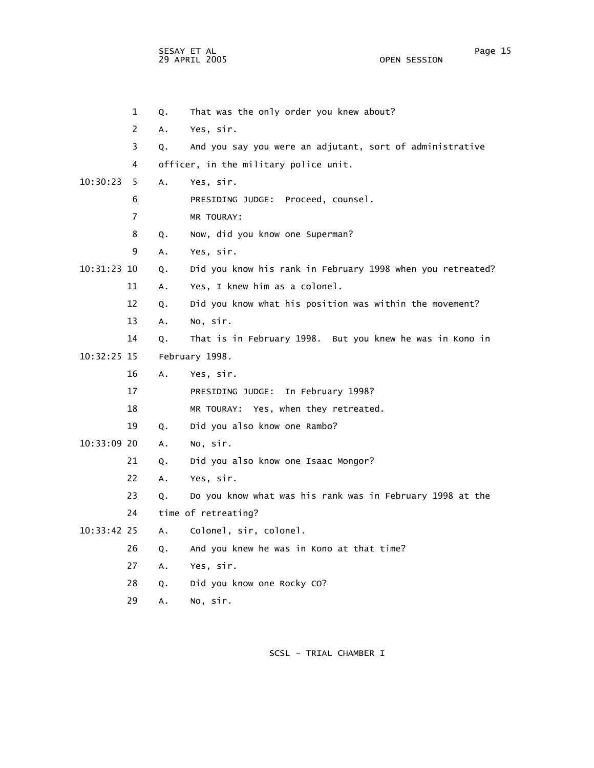SESAY ET AL Page 15 29 APRIL 2005

 1 Q. That was the only order you knew about? 2 A. Yes, sir. 3 Q. And you say you were an adjutant, sort of administrative 4 officer, in the military police unit. 10:30:23 5 A. Yes, sir. 6 PRESIDING JUDGE: Proceed, counsel. 7 MR TOURAY: 8 Q. Now, did you know one Superman? 9 A. Yes, sir. 10:31:23 10 Q. Did you know his rank in February 1998 when you retreated? 11 A. Yes, I knew him as a colonel. 12 Q. Did you know what his position was within the movement? 13 A. No, sir. 14 Q. That is in February 1998. But you knew he was in Kono in 10:32:25 15 February 1998. 16 A. Yes, sir. 17 PRESIDING JUDGE: In February 1998? 18 MR TOURAY: Yes, when they retreated. 19 Q. Did you also know one Rambo? 10:33:09 20 A. No, sir. 21 Q. Did you also know one Isaac Mongor? 22 A. Yes, sir. 23 Q. Do you know what was his rank was in February 1998 at the 24 time of retreating? 10:33:42 25 A. Colonel, sir, colonel. 26 Q. And you knew he was in Kono at that time? 27 A. Yes, sir. 28 Q. Did you know one Rocky CO? 29 A. No, sir.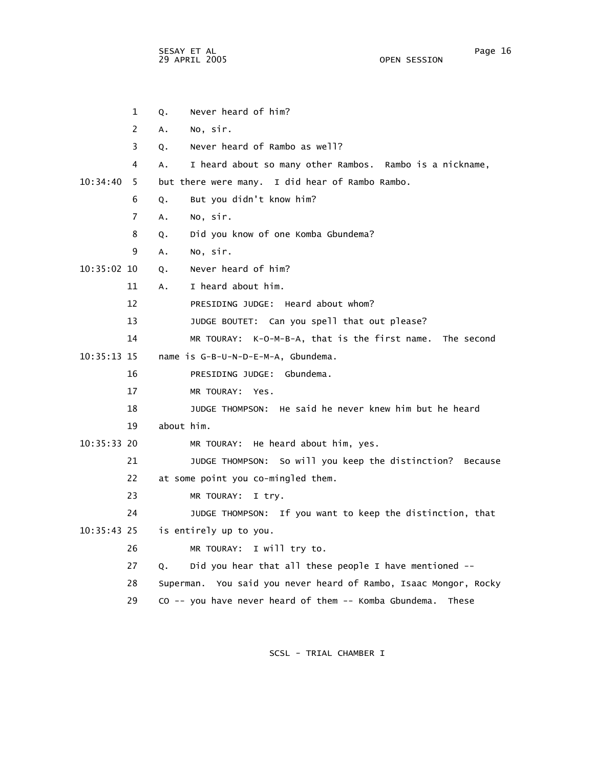sesay et al. In the second service of the second service of the service of the service of the series of the service of the series of the series of the series of the series of the series of the series of the series of the s 29 APRIL 2005 OPEN SESSION

|               | 1              | Q.         | Never heard of him?                                              |
|---------------|----------------|------------|------------------------------------------------------------------|
|               | 2              | Α.         | No, sir.                                                         |
|               | 3              | Q.         | Never heard of Rambo as well?                                    |
|               | 4              | А.         | I heard about so many other Rambos. Rambo is a nickname,         |
| 10:34:40      | 5.             |            | but there were many. I did hear of Rambo Rambo.                  |
|               | 6              | Q.         | But you didn't know him?                                         |
|               | $\overline{7}$ | Α.         | No, sir.                                                         |
|               | 8              | Q.         | Did you know of one Komba Gbundema?                              |
|               | 9              | А.         | No, sir.                                                         |
| 10:35:02 10   |                | Q.         | Never heard of him?                                              |
|               | 11             | А.         | I heard about him.                                               |
|               | 12             |            | PRESIDING JUDGE: Heard about whom?                               |
|               | 13             |            | JUDGE BOUTET: Can you spell that out please?                     |
|               | 14             |            | MR TOURAY: K-O-M-B-A, that is the first name.<br>The second      |
| $10:35:13$ 15 |                |            | name is G-B-U-N-D-E-M-A, Gbundema.                               |
|               | 16             |            | PRESIDING JUDGE: Gbundema.                                       |
|               | 17             |            | MR TOURAY: Yes.                                                  |
|               | 18             |            | JUDGE THOMPSON: He said he never knew him but he heard           |
|               | 19             | about him. |                                                                  |
| $10:35:33$ 20 |                |            | MR TOURAY: He heard about him, yes.                              |
|               | 21             |            | JUDGE THOMPSON: So will you keep the distinction?<br>Because     |
|               | 22             |            | at some point you co-mingled them.                               |
|               | 23             |            | MR TOURAY:<br>I try.                                             |
|               | 24             |            | JUDGE THOMPSON: If you want to keep the distinction, that        |
| $10:35:43$ 25 |                |            | is entirely up to you.                                           |
|               | 26             |            | MR TOURAY: I will try to.                                        |
|               | 27             | Q.         | Did you hear that all these people I have mentioned --           |
|               | 28             |            | Superman. You said you never heard of Rambo, Isaac Mongor, Rocky |
|               | 29             |            | CO -- you have never heard of them -- Komba Gbundema.<br>These   |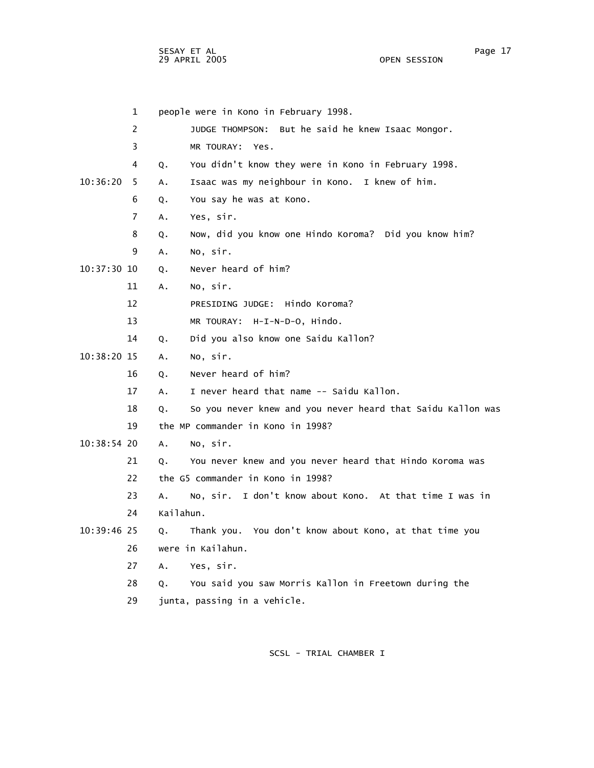SESAY ET AL Page 17 29 APRIL 2005 OPEN SESSION

|               | $\mathbf{1}$   |               | people were in Kono in February 1998.                       |
|---------------|----------------|---------------|-------------------------------------------------------------|
|               | $\overline{2}$ |               | JUDGE THOMPSON: But he said he knew Isaac Mongor.           |
|               | 3              |               | MR TOURAY: Yes.                                             |
|               | 4              | Q.            | You didn't know they were in Kono in February 1998.         |
| 10:36:20      | 5              | Α.            | Isaac was my neighbour in Kono. I knew of him.              |
|               | 6              | Q.            | You say he was at Kono.                                     |
|               | $\overline{7}$ | Α.            | Yes, sir.                                                   |
|               | 8              | Q.            | Now, did you know one Hindo Koroma? Did you know him?       |
|               | 9              | А.            | No, sir.                                                    |
| $10:37:30$ 10 |                | Q.            | Never heard of him?                                         |
|               | 11             | Α.            | No, sir.                                                    |
|               | 12             |               | PRESIDING JUDGE: Hindo Koroma?                              |
|               | 13             |               | MR TOURAY: H-I-N-D-O, Hindo.                                |
|               | 14             | Q.            | Did you also know one Saidu Kallon?                         |
| 10:38:20 15   |                | A.            | No, sir.                                                    |
|               | 16             | Q.            | Never heard of him?                                         |
|               | 17             | A.            | I never heard that name -- Saidu Kallon.                    |
|               | 18             | Q.            | So you never knew and you never heard that Saidu Kallon was |
|               | 19             |               | the MP commander in Kono in 1998?                           |
| 10:38:54 20   |                | A.            | No, sir.                                                    |
|               | 21             | Q.            | You never knew and you never heard that Hindo Koroma was    |
|               | 22             |               | the G5 commander in Kono in 1998?                           |
|               | 23             | A.            | No, sir. I don't know about Kono. At that time I was in     |
|               | 24             | Kailahun.     |                                                             |
| 10:39:46 25   |                | Q.            | Thank you. You don't know about Kono, at that time you      |
|               | 26             |               | were in Kailahun.                                           |
|               | 27             | $A_{\bullet}$ | Yes, sir.                                                   |
|               | 28             | 0.            | You said you saw Morris Kallon in Freetown during the       |
|               | 29             |               | junta, passing in a vehicle.                                |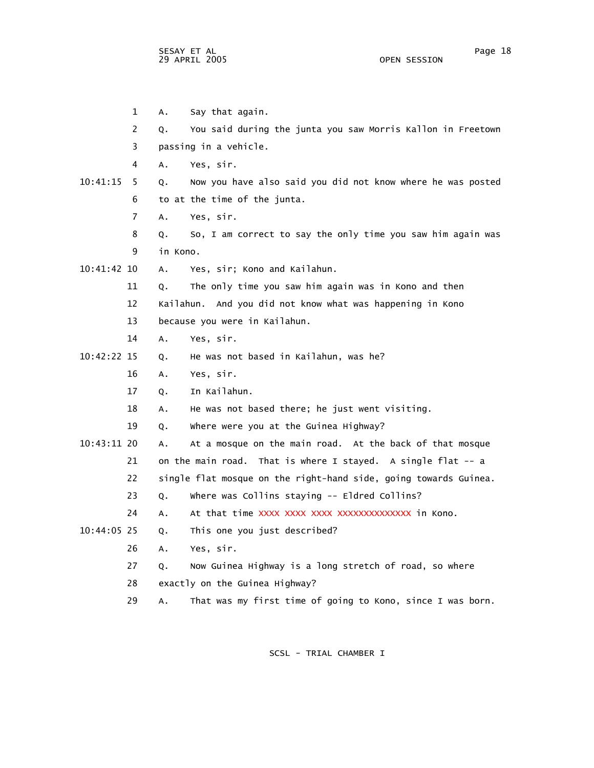SESAY ET AL Page 18 29 APRIL 2005

 1 A. Say that again. 2 Q. You said during the junta you saw Morris Kallon in Freetown 3 passing in a vehicle. 4 A. Yes, sir. 10:41:15 5 Q. Now you have also said you did not know where he was posted 6 to at the time of the junta. 7 A. Yes, sir. 8 Q. So, I am correct to say the only time you saw him again was 9 in Kono. 10:41:42 10 A. Yes, sir; Kono and Kailahun. 11 Q. The only time you saw him again was in Kono and then 12 Kailahun. And you did not know what was happening in Kono 13 because you were in Kailahun. 14 A. Yes, sir. 10:42:22 15 Q. He was not based in Kailahun, was he? 16 A. Yes, sir. 17 Q. In Kailahun. 18 A. He was not based there; he just went visiting. 19 Q. Where were you at the Guinea Highway? 10:43:11 20 A. At a mosque on the main road. At the back of that mosque 21 on the main road. That is where I stayed. A single flat -- a 22 single flat mosque on the right-hand side, going towards Guinea. 23 Q. Where was Collins staying -- Eldred Collins? 24 A. At that time XXXX XXXX XXXX XXXXXXXXXXXXX in Kono. 10:44:05 25 Q. This one you just described? 26 A. Yes, sir. 27 Q. Now Guinea Highway is a long stretch of road, so where 28 exactly on the Guinea Highway? 29 A. That was my first time of going to Kono, since I was born.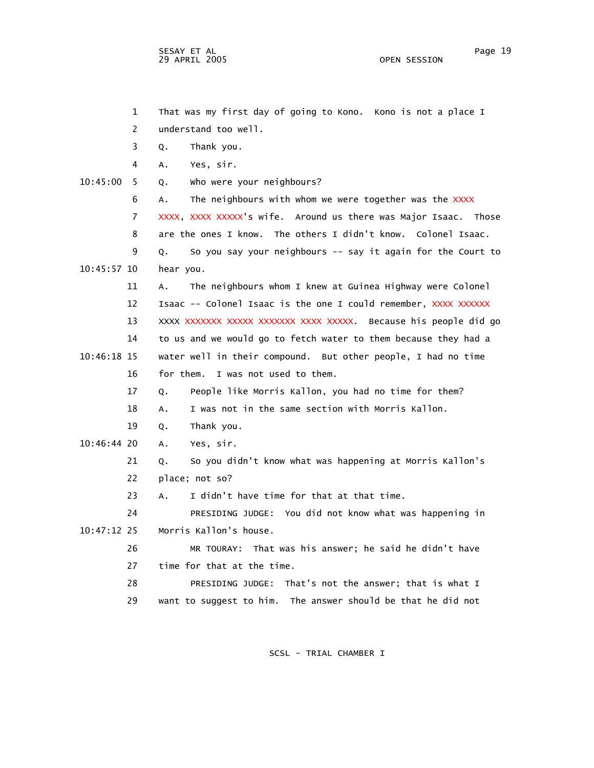sesay et al. International and the second service of the service of the service of the service of the service o 29 APRIL 2005 OPEN SESSION

|               | $\mathbf 1$    | That was my first day of going to Kono. Kono is not a place I     |
|---------------|----------------|-------------------------------------------------------------------|
|               | 2              | understand too well.                                              |
|               | 3              | Thank you.<br>Q.                                                  |
|               | 4              | Yes, sir.<br>А.                                                   |
| 10:45:00      | 5              | who were your neighbours?<br>Q.                                   |
|               | 6              | The neighbours with whom we were together was the XXXX<br>A.      |
|               | $\overline{7}$ | XXXX, XXXX XXXXX's wife. Around us there was Major Isaac. Those   |
|               | 8              | are the ones I know. The others I didn't know. Colonel Isaac.     |
|               | 9              | So you say your neighbours -- say it again for the Court to<br>Q. |
| 10:45:57 10   |                | hear you.                                                         |
|               | 11             | The neighbours whom I knew at Guinea Highway were Colonel<br>А.   |
|               | 12             | Isaac -- Colonel Isaac is the one I could remember, XXXX XXXXXX   |
|               | 13             | XXXX XXXXXX XXXXX XXXXXX XXXX XXXXX. Because his people did go    |
|               | 14             | to us and we would go to fetch water to them because they had a   |
| $10:46:18$ 15 |                | water well in their compound. But other people, I had no time     |
|               | 16             | I was not used to them.<br>for them.                              |
|               | 17             | People like Morris Kallon, you had no time for them?<br>Q.        |
|               | 18             | I was not in the same section with Morris Kallon.<br>A.           |
|               | 19             | Thank you.<br>Q.                                                  |
| 10:46:44 20   |                | Yes, sir.<br>A.                                                   |
|               | 21             | So you didn't know what was happening at Morris Kallon's<br>Q.    |
|               | 22             | place; not so?                                                    |
|               | 23             | I didn't have time for that at that time.<br>А.                   |
|               | 24             | PRESIDING JUDGE: You did not know what was happening in           |
| $10:47:12$ 25 |                | Morris Kallon's house.                                            |
|               | 26             | MR TOURAY: That was his answer; he said he didn't have            |
|               | 27             | time for that at the time.                                        |
|               | 28             | PRESIDING JUDGE: That's not the answer; that is what I            |
|               | 29             | want to suggest to him. The answer should be that he did not      |
|               |                |                                                                   |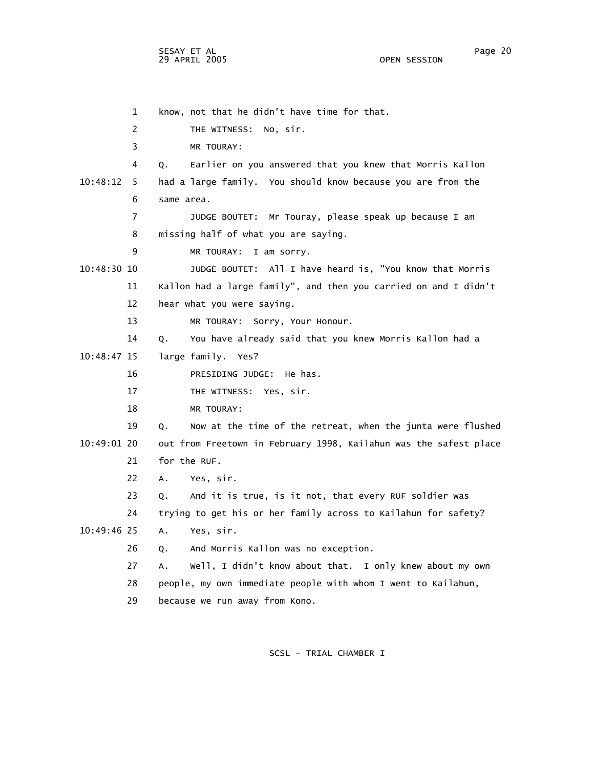1 know, not that he didn't have time for that. 2 THE WITNESS: No, sir. 3 MR TOURAY: 4 Q. Earlier on you answered that you knew that Morris Kallon 10:48:12 5 had a large family. You should know because you are from the 6 same area. 7 JUDGE BOUTET: Mr Touray, please speak up because I am 8 missing half of what you are saying. 9 MR TOURAY: I am sorry. 10:48:30 10 JUDGE BOUTET: All I have heard is, "You know that Morris 11 Kallon had a large family", and then you carried on and I didn't 12 hear what you were saying. 13 MR TOURAY: Sorry, Your Honour. 14 Q. You have already said that you knew Morris Kallon had a 10:48:47 15 large family. Yes? 16 PRESIDING JUDGE: He has. 17 THE WITNESS: Yes, sir. 18 MR TOURAY: 19 Q. Now at the time of the retreat, when the junta were flushed 10:49:01 20 out from Freetown in February 1998, Kailahun was the safest place 21 for the RUF. 22 A. Yes, sir. 23 Q. And it is true, is it not, that every RUF soldier was 24 trying to get his or her family across to Kailahun for safety? 10:49:46 25 A. Yes, sir. 26 Q. And Morris Kallon was no exception. 27 A. Well, I didn't know about that. I only knew about my own 28 people, my own immediate people with whom I went to Kailahun, 29 because we run away from Kono.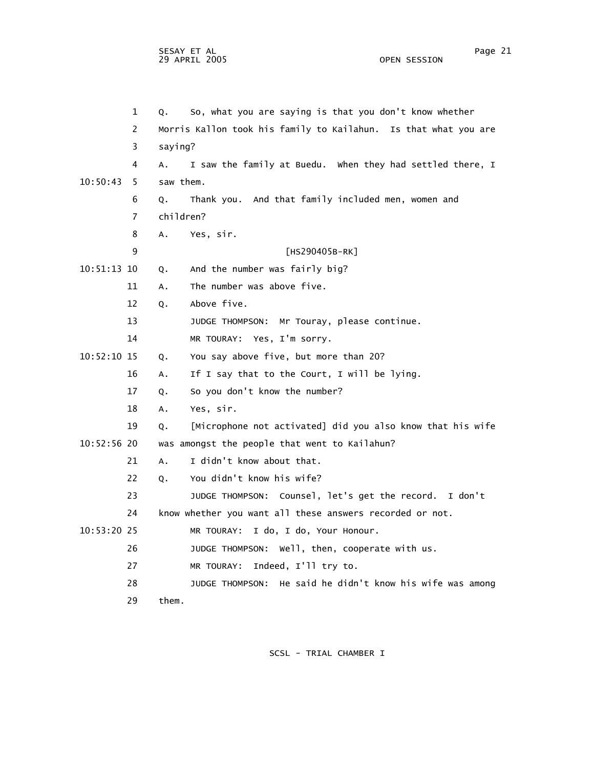|               | $\mathbf{1}$   | Q.            | So, what you are saying is that you don't know whether          |
|---------------|----------------|---------------|-----------------------------------------------------------------|
|               | $\overline{2}$ |               | Morris Kallon took his family to Kailahun. Is that what you are |
|               | 3              | saying?       |                                                                 |
|               | 4              | A.            | I saw the family at Buedu. When they had settled there, I       |
| 10:50:43      | 5              | saw them.     |                                                                 |
|               | 6              | Q.            | Thank you. And that family included men, women and              |
|               | 7              | children?     |                                                                 |
|               | 8              | $A_{\bullet}$ | Yes, sir.                                                       |
|               | 9              |               | [HS290405B-RK]                                                  |
| 10:51:13 10   |                | Q.            | And the number was fairly big?                                  |
|               | 11             | A.            | The number was above five.                                      |
|               | 12             | Q.            | Above five.                                                     |
|               | 13             |               | JUDGE THOMPSON: Mr Touray, please continue.                     |
|               | 14             |               | MR TOURAY: Yes, I'm sorry.                                      |
| 10:52:10 15   |                | Q.            | You say above five, but more than 20?                           |
|               | 16             | A.            | If I say that to the Court, I will be lying.                    |
|               | 17             | Q.            | So you don't know the number?                                   |
|               | 18             | A.            | Yes, sir.                                                       |
|               | 19             | Q.            | [Microphone not activated] did you also know that his wife      |
| $10:52:56$ 20 |                |               | was amongst the people that went to Kailahun?                   |
|               | 21             | A.            | I didn't know about that.                                       |
|               | 22             | Q.            | You didn't know his wife?                                       |
|               | 23             |               | JUDGE THOMPSON: Counsel, let's get the record. I don't          |
|               | 24             |               | know whether you want all these answers recorded or not.        |
| 10:53:20 25   |                |               | MR TOURAY: I do, I do, Your Honour.                             |
|               | 26             |               | JUDGE THOMPSON: Well, then, cooperate with us.                  |
|               | 27             |               | MR TOURAY: Indeed, I'll try to.                                 |
|               | 28             |               | JUDGE THOMPSON: He said he didn't know his wife was among       |
|               | 29             | them.         |                                                                 |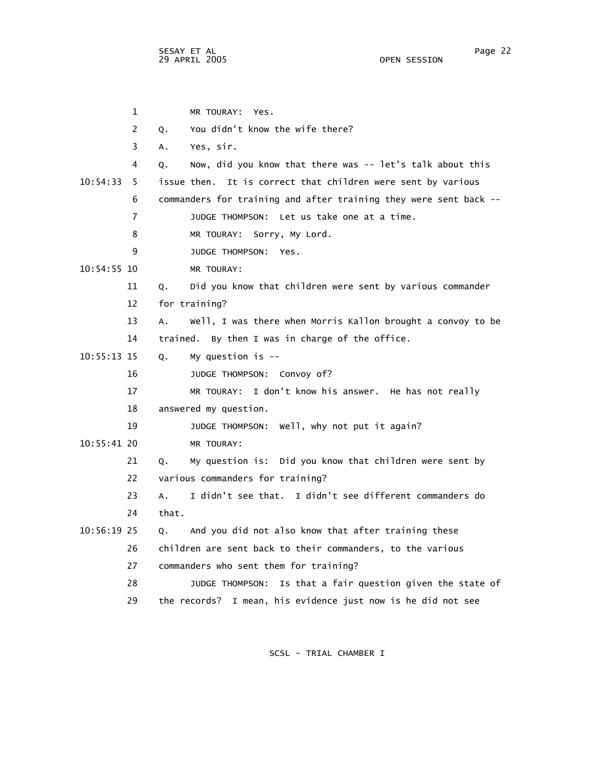SESAY ET AL Page 22 29 APRIL 2005

 1 MR TOURAY: Yes. 2 Q. You didn't know the wife there? 3 A. Yes, sir. 4 Q. Now, did you know that there was -- let's talk about this 10:54:33 5 issue then. It is correct that children were sent by various 6 commanders for training and after training they were sent back -- 7 JUDGE THOMPSON: Let us take one at a time. 8 MR TOURAY: Sorry, My Lord. 9 JUDGE THOMPSON: Yes. 10:54:55 10 MR TOURAY: 11 Q. Did you know that children were sent by various commander 12 for training? 13 A. Well, I was there when Morris Kallon brought a convoy to be 14 trained. By then I was in charge of the office. 10:55:13 15 Q. My question is -- 16 JUDGE THOMPSON: Convoy of? 17 MR TOURAY: I don't know his answer. He has not really 18 answered my question. 19 JUDGE THOMPSON: Well, why not put it again? 10:55:41 20 MR TOURAY: 21 Q. My question is: Did you know that children were sent by 22 various commanders for training? 23 A. I didn't see that. I didn't see different commanders do 24 that. 10:56:19 25 Q. And you did not also know that after training these 26 children are sent back to their commanders, to the various 27 commanders who sent them for training? 28 JUDGE THOMPSON: Is that a fair question given the state of 29 the records? I mean, his evidence just now is he did not see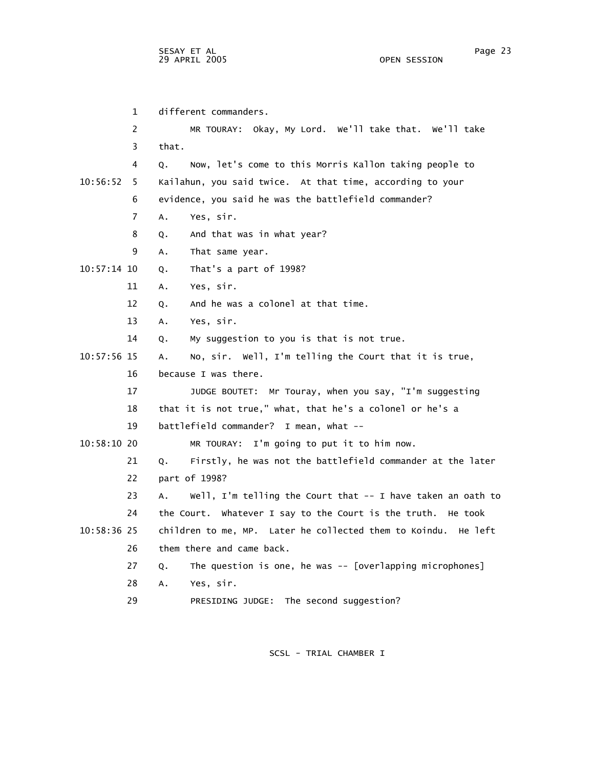1 different commanders. 2 MR TOURAY: Okay, My Lord. We'll take that. We'll take 3 that. 4 Q. Now, let's come to this Morris Kallon taking people to 10:56:52 5 Kailahun, you said twice. At that time, according to your 6 evidence, you said he was the battlefield commander? 7 A. Yes, sir. 8 Q. And that was in what year? 9 A. That same year. 10:57:14 10 Q. That's a part of 1998? 11 A. Yes, sir. 12 Q. And he was a colonel at that time. 13 A. Yes, sir. 14 Q. My suggestion to you is that is not true. 10:57:56 15 A. No, sir. Well, I'm telling the Court that it is true, 16 because I was there. 17 JUDGE BOUTET: Mr Touray, when you say, "I'm suggesting 18 that it is not true," what, that he's a colonel or he's a 19 battlefield commander? I mean, what -- 10:58:10 20 MR TOURAY: I'm going to put it to him now. 21 Q. Firstly, he was not the battlefield commander at the later 22 part of 1998? 23 A. Well, I'm telling the Court that -- I have taken an oath to 24 the Court. Whatever I say to the Court is the truth. He took 10:58:36 25 children to me, MP. Later he collected them to Koindu. He left 26 them there and came back. 27 Q. The question is one, he was -- [overlapping microphones] 28 A. Yes, sir. 29 PRESIDING JUDGE: The second suggestion?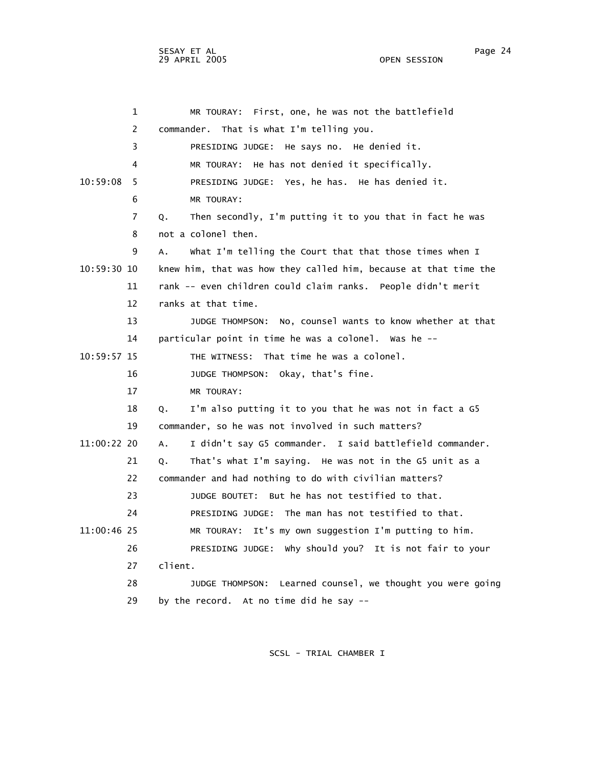1 MR TOURAY: First, one, he was not the battlefield 2 commander. That is what I'm telling you. 3 PRESIDING JUDGE: He says no. He denied it. 4 MR TOURAY: He has not denied it specifically. 10:59:08 5 PRESIDING JUDGE: Yes, he has. He has denied it. 6 MR TOURAY: 7 Q. Then secondly, I'm putting it to you that in fact he was 8 not a colonel then. 9 A. What I'm telling the Court that that those times when I 10:59:30 10 knew him, that was how they called him, because at that time the 11 rank -- even children could claim ranks. People didn't merit 12 ranks at that time. 13 JUDGE THOMPSON: No, counsel wants to know whether at that 14 particular point in time he was a colonel. Was he -- 10:59:57 15 THE WITNESS: That time he was a colonel. 16 JUDGE THOMPSON: Okay, that's fine. 17 MR TOURAY: 18 Q. I'm also putting it to you that he was not in fact a G5 19 commander, so he was not involved in such matters? 11:00:22 20 A. I didn't say G5 commander. I said battlefield commander. 21 Q. That's what I'm saying. He was not in the G5 unit as a 22 commander and had nothing to do with civilian matters? 23 JUDGE BOUTET: But he has not testified to that. 24 PRESIDING JUDGE: The man has not testified to that. 11:00:46 25 MR TOURAY: It's my own suggestion I'm putting to him. 26 PRESIDING JUDGE: Why should you? It is not fair to your 27 client. 28 JUDGE THOMPSON: Learned counsel, we thought you were going 29 by the record. At no time did he say --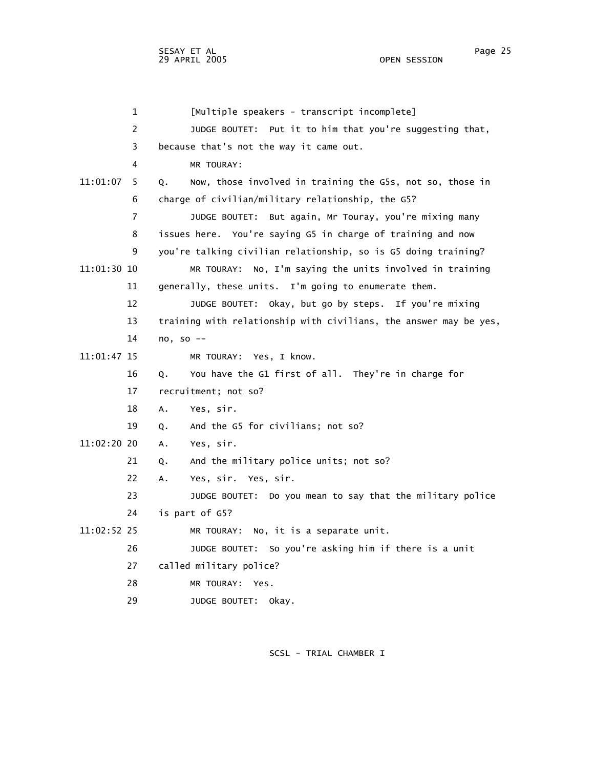1 [Multiple speakers - transcript incomplete] 2 JUDGE BOUTET: Put it to him that you're suggesting that, 3 because that's not the way it came out. 4 MR TOURAY: 11:01:07 5 Q. Now, those involved in training the G5s, not so, those in 6 charge of civilian/military relationship, the G5? 7 JUDGE BOUTET: But again, Mr Touray, you're mixing many 8 issues here. You're saying G5 in charge of training and now 9 you're talking civilian relationship, so is G5 doing training? 11:01:30 10 MR TOURAY: No, I'm saying the units involved in training 11 generally, these units. I'm going to enumerate them. 12 JUDGE BOUTET: Okay, but go by steps. If you're mixing 13 training with relationship with civilians, the answer may be yes, 14 no, so -- 11:01:47 15 MR TOURAY: Yes, I know. 16 Q. You have the G1 first of all. They're in charge for 17 recruitment; not so? 18 A. Yes, sir. 19 Q. And the G5 for civilians; not so? 11:02:20 20 A. Yes, sir. 21 Q. And the military police units; not so? 22 A. Yes, sir. Yes, sir. 23 JUDGE BOUTET: Do you mean to say that the military police 24 is part of G5? 11:02:52 25 MR TOURAY: No, it is a separate unit. 26 JUDGE BOUTET: So you're asking him if there is a unit 27 called military police? 28 MR TOURAY: Yes. 29 JUDGE BOUTET: Okay.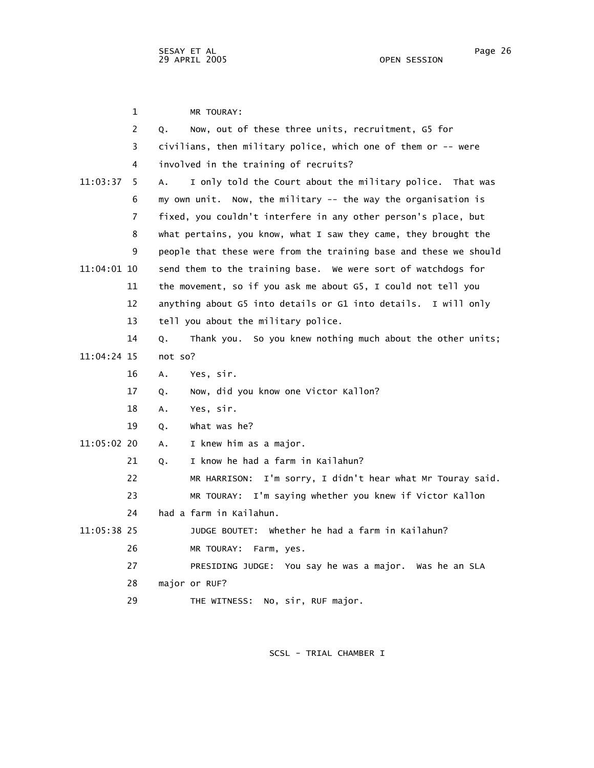1 MR TOURAY: 2 Q. Now, out of these three units, recruitment, G5 for 3 civilians, then military police, which one of them or -- were 4 involved in the training of recruits? 11:03:37 5 A. I only told the Court about the military police. That was 6 my own unit. Now, the military -- the way the organisation is 7 fixed, you couldn't interfere in any other person's place, but 8 what pertains, you know, what I saw they came, they brought the 9 people that these were from the training base and these we should 11:04:01 10 send them to the training base. We were sort of watchdogs for 11 the movement, so if you ask me about G5, I could not tell you 12 anything about G5 into details or G1 into details. I will only 13 tell you about the military police. 14 Q. Thank you. So you knew nothing much about the other units; 11:04:24 15 not so? 16 A. Yes, sir. 17 Q. Now, did you know one Victor Kallon? 18 A. Yes, sir. 19 Q. What was he? 11:05:02 20 A. I knew him as a major. 21 Q. I know he had a farm in Kailahun? 22 MR HARRISON: I'm sorry, I didn't hear what Mr Touray said. 23 MR TOURAY: I'm saying whether you knew if Victor Kallon 24 had a farm in Kailahun. 11:05:38 25 JUDGE BOUTET: Whether he had a farm in Kailahun? 26 MR TOURAY: Farm, yes. 27 PRESIDING JUDGE: You say he was a major. Was he an SLA 28 major or RUF? 29 THE WITNESS: No, sir, RUF major.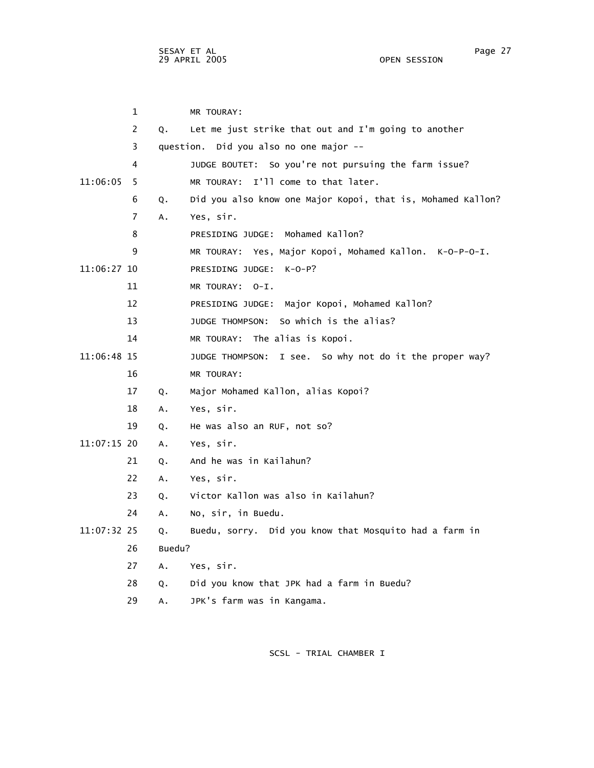sesay et al. In the second service of the service of the service of the service of the service of the service o 29 APRIL 2005 OPEN SESSION

|             | 1              |        | MR TOURAY:                                                  |
|-------------|----------------|--------|-------------------------------------------------------------|
|             | 2              | 0.     | Let me just strike that out and I'm going to another        |
|             | 3              |        | question. Did you also no one major --                      |
|             | 4              |        | JUDGE BOUTET: So you're not pursuing the farm issue?        |
| 11:06:05    | 5              |        | MR TOURAY: I'll come to that later.                         |
|             | 6              | Q.     | Did you also know one Major Kopoi, that is, Mohamed Kallon? |
|             | $\overline{7}$ | А.     | Yes, sir.                                                   |
|             | 8              |        | PRESIDING JUDGE: Mohamed Kallon?                            |
|             | 9              |        | MR TOURAY: Yes, Major Kopoi, Mohamed Kallon. K-O-P-O-I.     |
| 11:06:27 10 |                |        | PRESIDING JUDGE: K-O-P?                                     |
|             | 11             |        | MR TOURAY: 0-I.                                             |
|             | 12             |        | PRESIDING JUDGE: Major Kopoi, Mohamed Kallon?               |
|             | 13             |        | JUDGE THOMPSON: So which is the alias?                      |
|             | 14             |        | MR TOURAY: The alias is Kopoi.                              |
| 11:06:48 15 |                |        | JUDGE THOMPSON: I see. So why not do it the proper way?     |
|             | 16             |        | MR TOURAY:                                                  |
|             | 17             | Q.     | Major Mohamed Kallon, alias Kopoi?                          |
|             | 18             | Α.     | Yes, sir.                                                   |
|             | 19             | Q.     | He was also an RUF, not so?                                 |
| 11:07:15 20 |                | Α.     | Yes, sir.                                                   |
|             | 21             | Q.     | And he was in Kailahun?                                     |
|             | 22             | Α.     | Yes, sir.                                                   |
|             | 23             | Q.     | Victor Kallon was also in Kailahun?                         |
|             | 24             | А.     | No, sir, in Buedu.                                          |
| 11:07:32 25 |                | Q.     | Buedu, sorry. Did you know that Mosquito had a farm in      |
|             | 26             | Buedu? |                                                             |
|             | 27             | A.     | Yes, sir.                                                   |
|             | 28             | Q.     | Did you know that JPK had a farm in Buedu?                  |
|             | 29             | Α.     | JPK's farm was in Kangama.                                  |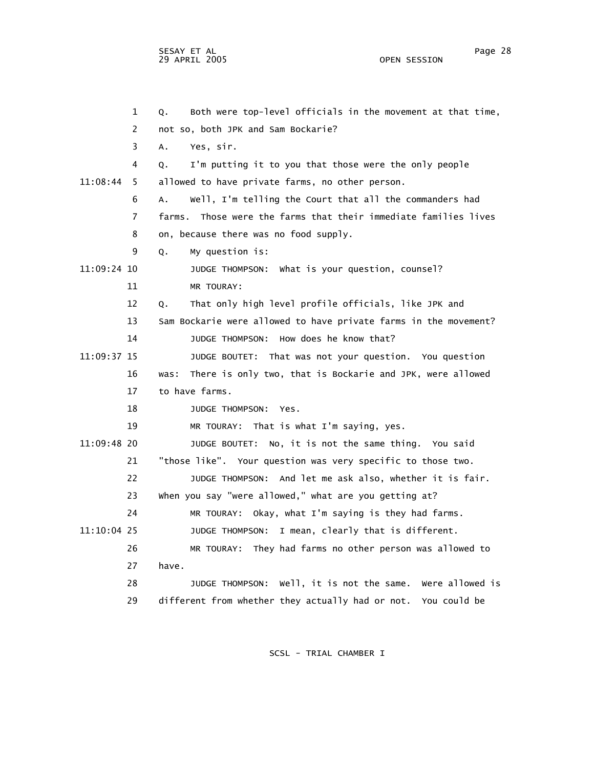1 Q. Both were top-level officials in the movement at that time, 2 not so, both JPK and Sam Bockarie? 3 A. Yes, sir. 4 Q. I'm putting it to you that those were the only people 11:08:44 5 allowed to have private farms, no other person. 6 A. Well, I'm telling the Court that all the commanders had 7 farms. Those were the farms that their immediate families lives 8 on, because there was no food supply. 9 Q. My question is: 11:09:24 10 JUDGE THOMPSON: What is your question, counsel? 11 MR TOURAY: 12 Q. That only high level profile officials, like JPK and 13 Sam Bockarie were allowed to have private farms in the movement? 14 JUDGE THOMPSON: How does he know that? 11:09:37 15 JUDGE BOUTET: That was not your question. You question 16 was: There is only two, that is Bockarie and JPK, were allowed 17 to have farms. 18 JUDGE THOMPSON: Yes. 19 MR TOURAY: That is what I'm saying, yes. 11:09:48 20 JUDGE BOUTET: No, it is not the same thing. You said 21 "those like". Your question was very specific to those two. 22 JUDGE THOMPSON: And let me ask also, whether it is fair. 23 When you say "were allowed," what are you getting at? 24 MR TOURAY: Okay, what I'm saying is they had farms. 11:10:04 25 JUDGE THOMPSON: I mean, clearly that is different. 26 MR TOURAY: They had farms no other person was allowed to 27 have. 28 JUDGE THOMPSON: Well, it is not the same. Were allowed is 29 different from whether they actually had or not. You could be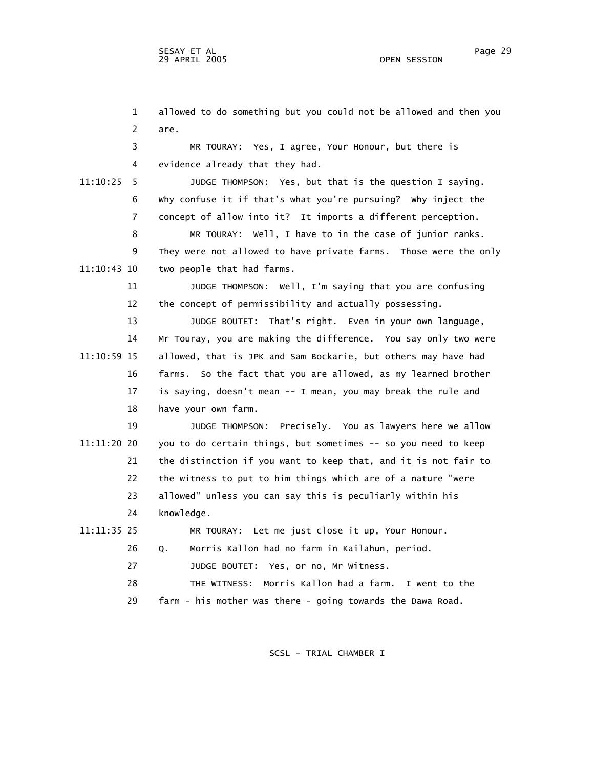1 allowed to do something but you could not be allowed and then you 2 are. 3 MR TOURAY: Yes, I agree, Your Honour, but there is 4 evidence already that they had. 11:10:25 5 JUDGE THOMPSON: Yes, but that is the question I saying. 6 Why confuse it if that's what you're pursuing? Why inject the 7 concept of allow into it? It imports a different perception. 8 MR TOURAY: Well, I have to in the case of junior ranks. 9 They were not allowed to have private farms. Those were the only 11:10:43 10 two people that had farms. 11 JUDGE THOMPSON: Well, I'm saying that you are confusing 12 the concept of permissibility and actually possessing. 13 JUDGE BOUTET: That's right. Even in your own language, 14 Mr Touray, you are making the difference. You say only two were 11:10:59 15 allowed, that is JPK and Sam Bockarie, but others may have had 16 farms. So the fact that you are allowed, as my learned brother 17 is saying, doesn't mean -- I mean, you may break the rule and 18 have your own farm. 19 JUDGE THOMPSON: Precisely. You as lawyers here we allow 11:11:20 20 you to do certain things, but sometimes -- so you need to keep 21 the distinction if you want to keep that, and it is not fair to 22 the witness to put to him things which are of a nature "were 23 allowed" unless you can say this is peculiarly within his 24 knowledge. 11:11:35 25 MR TOURAY: Let me just close it up, Your Honour. 26 Q. Morris Kallon had no farm in Kailahun, period. 27 JUDGE BOUTET: Yes, or no, Mr Witness. 28 THE WITNESS: Morris Kallon had a farm. I went to the 29 farm - his mother was there - going towards the Dawa Road.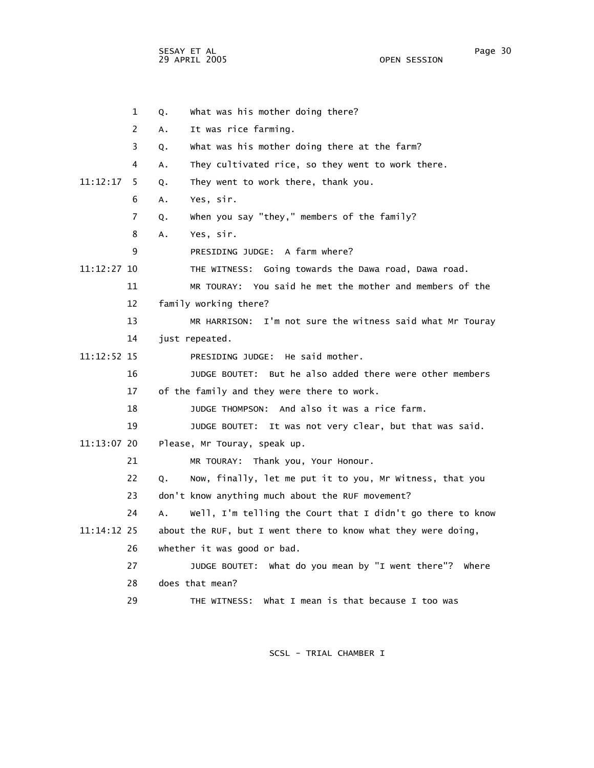SESAY ET AL Page 30 29 APRIL 2005

 1 Q. What was his mother doing there? 2 A. It was rice farming. 3 Q. What was his mother doing there at the farm? 4 A. They cultivated rice, so they went to work there. 11:12:17 5 Q. They went to work there, thank you. 6 A. Yes, sir. 7 Q. When you say "they," members of the family? 8 A. Yes, sir. 9 PRESIDING JUDGE: A farm where? 11:12:27 10 THE WITNESS: Going towards the Dawa road, Dawa road. 11 MR TOURAY: You said he met the mother and members of the 12 family working there? 13 MR HARRISON: I'm not sure the witness said what Mr Touray 14 just repeated. 11:12:52 15 PRESIDING JUDGE: He said mother. 16 JUDGE BOUTET: But he also added there were other members 17 of the family and they were there to work. 18 JUDGE THOMPSON: And also it was a rice farm. 19 JUDGE BOUTET: It was not very clear, but that was said. 11:13:07 20 Please, Mr Touray, speak up. 21 MR TOURAY: Thank you, Your Honour. 22 Q. Now, finally, let me put it to you, Mr Witness, that you 23 don't know anything much about the RUF movement? 24 A. Well, I'm telling the Court that I didn't go there to know 11:14:12 25 about the RUF, but I went there to know what they were doing, 26 whether it was good or bad. 27 JUDGE BOUTET: What do you mean by "I went there"? Where 28 does that mean? 29 THE WITNESS: What I mean is that because I too was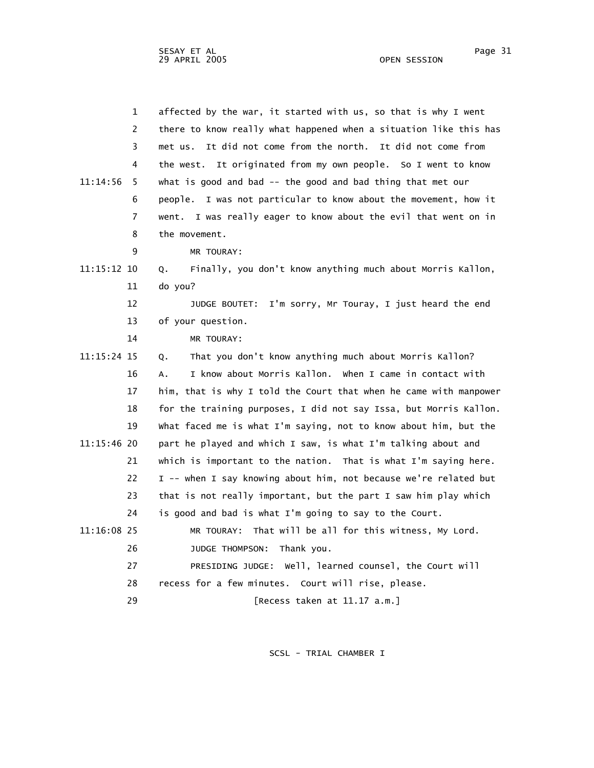| $\mathbf 1$    | affected by the war, it started with us, so that is why I went     |
|----------------|--------------------------------------------------------------------|
| 2              | there to know really what happened when a situation like this has  |
| 3              | met us. It did not come from the north. It did not come from       |
| 4              | the west. It originated from my own people. So I went to know      |
| 11:14:56<br>5  | what is good and bad -- the good and bad thing that met our        |
| 6              | I was not particular to know about the movement, how it<br>people. |
| $\overline{7}$ | went. I was really eager to know about the evil that went on in    |
| 8              | the movement.                                                      |
| 9              | MR TOURAY:                                                         |
| 11:15:12 10    | Finally, you don't know anything much about Morris Kallon,<br>Q.   |
| 11             | do you?                                                            |
| 12             | JUDGE BOUTET: I'm sorry, Mr Touray, I just heard the end           |
| 13             | of your question.                                                  |
| 14             | MR TOURAY:                                                         |
| 11:15:24 15    | That you don't know anything much about Morris Kallon?<br>Q.       |
| 16             | I know about Morris Kallon. When I came in contact with<br>А.      |
| 17             | him, that is why I told the Court that when he came with manpower  |
| 18             | for the training purposes, I did not say Issa, but Morris Kallon.  |
| 19             | what faced me is what I'm saying, not to know about him, but the   |
| 11:15:46 20    | part he played and which I saw, is what I'm talking about and      |
| 21             | which is important to the nation. That is what I'm saying here.    |
| 22             | I -- when I say knowing about him, not because we're related but   |
| 23             | that is not really important, but the part I saw him play which    |
| 24             | is good and bad is what I'm going to say to the Court.             |
| 11:16:08 25    | MR TOURAY: That will be all for this witness, My Lord.             |
| 26             | Thank you.<br>JUDGE THOMPSON:                                      |
| 27             | PRESIDING JUDGE: Well, learned counsel, the Court will             |
| 28             | recess for a few minutes. Court will rise, please.                 |
| 29             | [Recess taken at 11.17 a.m.]                                       |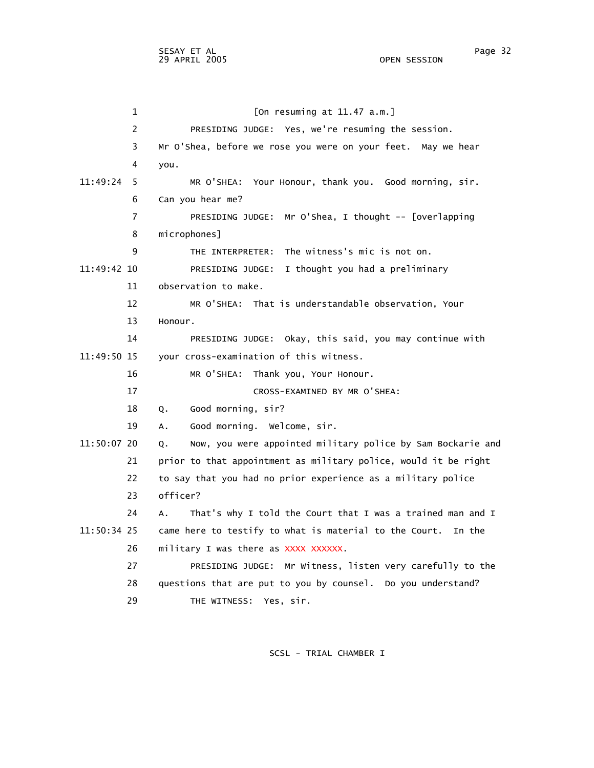1 [On resuming at 11.47 a.m.] 2 PRESIDING JUDGE: Yes, we're resuming the session. 3 Mr O'Shea, before we rose you were on your feet. May we hear 4 you. 11:49:24 5 MR O'SHEA: Your Honour, thank you. Good morning, sir. 6 Can you hear me? 7 PRESIDING JUDGE: Mr O'Shea, I thought -- [overlapping 8 microphones] 9 THE INTERPRETER: The witness's mic is not on. 11:49:42 10 PRESIDING JUDGE: I thought you had a preliminary 11 observation to make. 12 MR O'SHEA: That is understandable observation, Your 13 Honour. 14 PRESIDING JUDGE: Okay, this said, you may continue with 11:49:50 15 your cross-examination of this witness. 16 MR O'SHEA: Thank you, Your Honour. 17 CROSS-EXAMINED BY MR O'SHEA: 18 Q. Good morning, sir? 19 A. Good morning. Welcome, sir. 11:50:07 20 Q. Now, you were appointed military police by Sam Bockarie and 21 prior to that appointment as military police, would it be right 22 to say that you had no prior experience as a military police 23 officer? 24 A. That's why I told the Court that I was a trained man and I 11:50:34 25 came here to testify to what is material to the Court. In the 26 military I was there as XXXX XXXXXX. 27 PRESIDING JUDGE: Mr Witness, listen very carefully to the 28 questions that are put to you by counsel. Do you understand? 29 THE WITNESS: Yes, sir.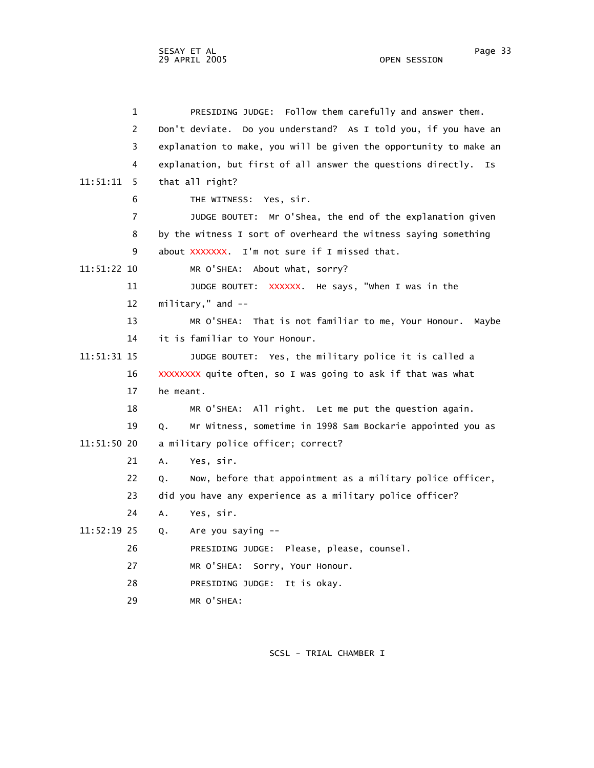1 PRESIDING JUDGE: Follow them carefully and answer them. 2 Don't deviate. Do you understand? As I told you, if you have an 3 explanation to make, you will be given the opportunity to make an 4 explanation, but first of all answer the questions directly. Is 11:51:11 5 that all right? 6 THE WITNESS: Yes, sir. 7 JUDGE BOUTET: Mr O'Shea, the end of the explanation given 8 by the witness I sort of overheard the witness saying something 9 about XXXXXXX. I'm not sure if I missed that. 11:51:22 10 MR O'SHEA: About what, sorry? 11 JUDGE BOUTET: XXXXXX. He says, "when I was in the 12 military," and -- 13 MR O'SHEA: That is not familiar to me, Your Honour. Maybe 14 it is familiar to Your Honour. 11:51:31 15 JUDGE BOUTET: Yes, the military police it is called a 16 XXXXXXXX quite often, so I was going to ask if that was what 17 he meant. 18 MR O'SHEA: All right. Let me put the question again. 19 Q. Mr Witness, sometime in 1998 Sam Bockarie appointed you as 11:51:50 20 a military police officer; correct? 21 A. Yes, sir. 22 Q. Now, before that appointment as a military police officer, 23 did you have any experience as a military police officer? 24 A. Yes, sir. 11:52:19 25 Q. Are you saying -- 26 PRESIDING JUDGE: Please, please, counsel. 27 MR O'SHEA: Sorry, Your Honour. 28 PRESIDING JUDGE: It is okay. 29 MR O'SHEA: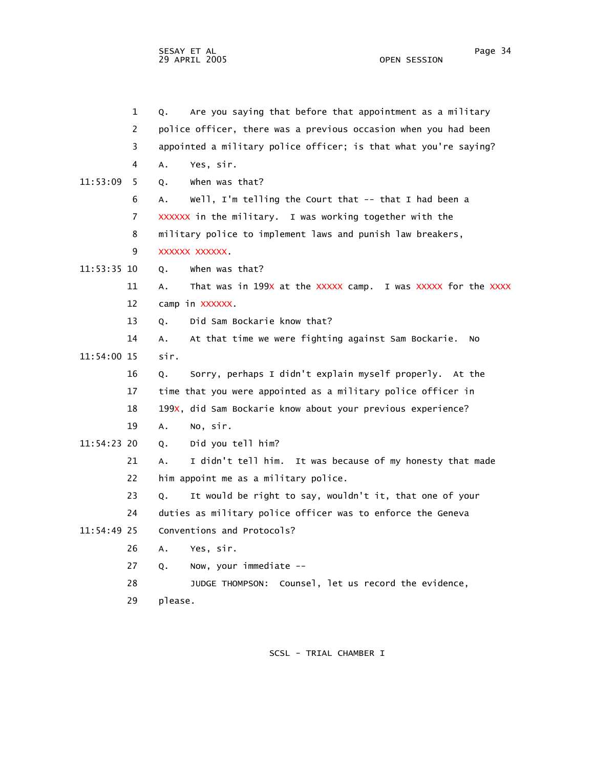SESAY ET AL Page 34 29 APRIL 2005

 1 Q. Are you saying that before that appointment as a military 2 police officer, there was a previous occasion when you had been 3 appointed a military police officer; is that what you're saying? 4 A. Yes, sir. 11:53:09 5 Q. When was that? 6 A. Well, I'm telling the Court that -- that I had been a 7 XXXXXX in the military. I was working together with the 8 military police to implement laws and punish law breakers, 9 XXXXXX XXXXXX. 11:53:35 10 Q. When was that? 11 A. That was in 199X at the XXXXX camp. I was XXXXX for the XXXX 12 camp in XXXXXX. 13 Q. Did Sam Bockarie know that? 14 A. At that time we were fighting against Sam Bockarie. No 11:54:00 15 sir. 16 Q. Sorry, perhaps I didn't explain myself properly. At the 17 time that you were appointed as a military police officer in 18 199X, did Sam Bockarie know about your previous experience? 19 A. No, sir. 11:54:23 20 Q. Did you tell him? 21 A. I didn't tell him. It was because of my honesty that made 22 him appoint me as a military police. 23 Q. It would be right to say, wouldn't it, that one of your 24 duties as military police officer was to enforce the Geneva 11:54:49 25 Conventions and Protocols? 26 A. Yes, sir. 27 Q. Now, your immediate -- 28 JUDGE THOMPSON: Counsel, let us record the evidence, 29 please.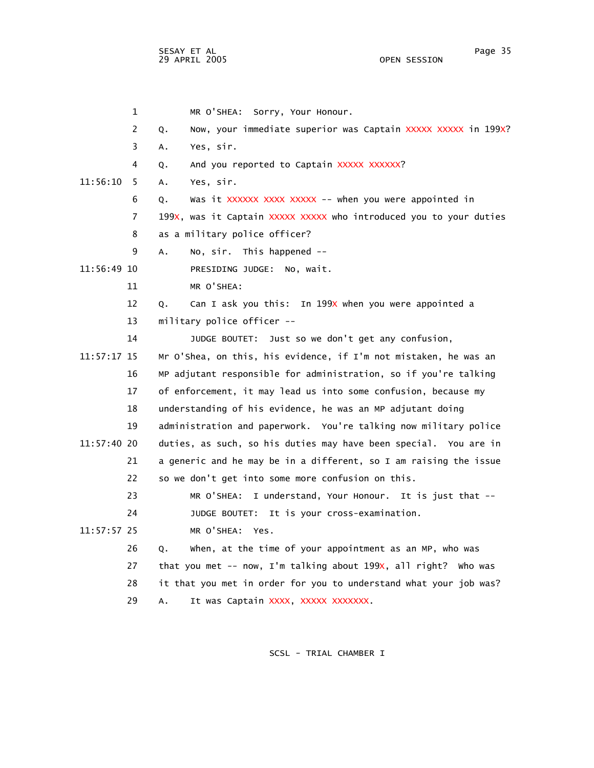SESAY ET AL Page 35 29 APRIL 2005

 1 MR O'SHEA: Sorry, Your Honour. 2 Q. Now, your immediate superior was Captain XXXXX XXXXX in 199X? 3 A. Yes, sir. 4 Q. And you reported to Captain XXXXX XXXXXX? 11:56:10 5 A. Yes, sir. 6 Q. Was it XXXXXX XXXX XXXXX -- when you were appointed in 7 199X, was it Captain XXXXX XXXXX who introduced you to your duties 8 as a military police officer? 9 A. No, sir. This happened -- 11:56:49 10 PRESIDING JUDGE: No, wait. 11 MR O'SHEA: 12 Q. Can I ask you this: In 199X when you were appointed a 13 military police officer -- 14 JUDGE BOUTET: Just so we don't get any confusion, 11:57:17 15 Mr O'Shea, on this, his evidence, if I'm not mistaken, he was an 16 MP adjutant responsible for administration, so if you're talking 17 of enforcement, it may lead us into some confusion, because my 18 understanding of his evidence, he was an MP adjutant doing 19 administration and paperwork. You're talking now military police 11:57:40 20 duties, as such, so his duties may have been special. You are in 21 a generic and he may be in a different, so I am raising the issue 22 so we don't get into some more confusion on this. 23 MR O'SHEA: I understand, Your Honour. It is just that -- 24 JUDGE BOUTET: It is your cross-examination. 11:57:57 25 MR O'SHEA: Yes. 26 Q. When, at the time of your appointment as an MP, who was 27 that you met -- now, I'm talking about 199x, all right? who was 28 it that you met in order for you to understand what your job was? 29 A. It was Captain XXXX, XXXXX XXXXXXX.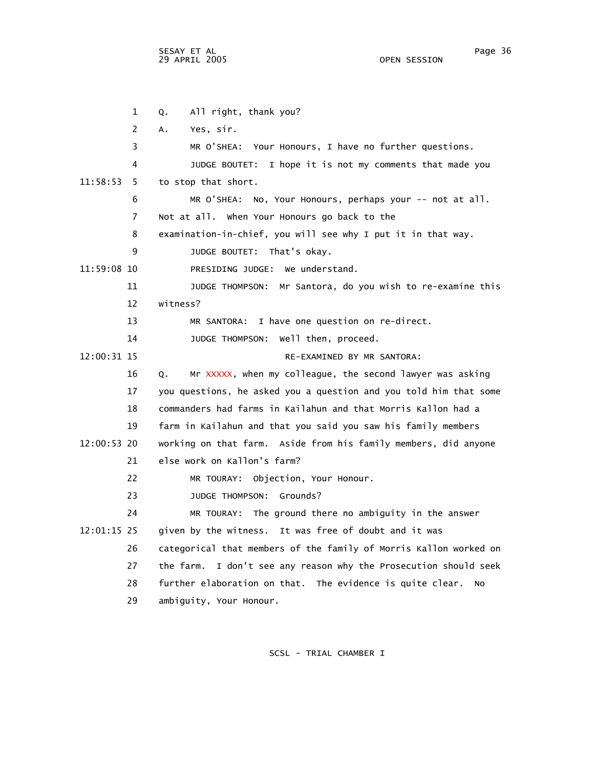SESAY ET AL Page 36 29 APRIL 2005

 1 Q. All right, thank you? 2 A. Yes, sir. 3 MR O'SHEA: Your Honours, I have no further questions. 4 JUDGE BOUTET: I hope it is not my comments that made you 11:58:53 5 to stop that short. 6 MR O'SHEA: No, Your Honours, perhaps your -- not at all. 7 Not at all. When Your Honours go back to the 8 examination-in-chief, you will see why I put it in that way. 9 JUDGE BOUTET: That's okay. 11:59:08 10 PRESIDING JUDGE: We understand. 11 JUDGE THOMPSON: Mr Santora, do you wish to re-examine this 12 witness? 13 MR SANTORA: I have one question on re-direct. 14 JUDGE THOMPSON: Well then, proceed. 12:00:31 15 RE-EXAMINED BY MR SANTORA: 16 Q. Mr XXXXX, when my colleague, the second lawyer was asking 17 you questions, he asked you a question and you told him that some 18 commanders had farms in Kailahun and that Morris Kallon had a 19 farm in Kailahun and that you said you saw his family members 12:00:53 20 working on that farm. Aside from his family members, did anyone 21 else work on Kallon's farm? 22 MR TOURAY: Objection, Your Honour. 23 JUDGE THOMPSON: Grounds? 24 MR TOURAY: The ground there no ambiguity in the answer 12:01:15 25 given by the witness. It was free of doubt and it was 26 categorical that members of the family of Morris Kallon worked on 27 the farm. I don't see any reason why the Prosecution should seek 28 further elaboration on that. The evidence is quite clear. No 29 ambiguity, Your Honour.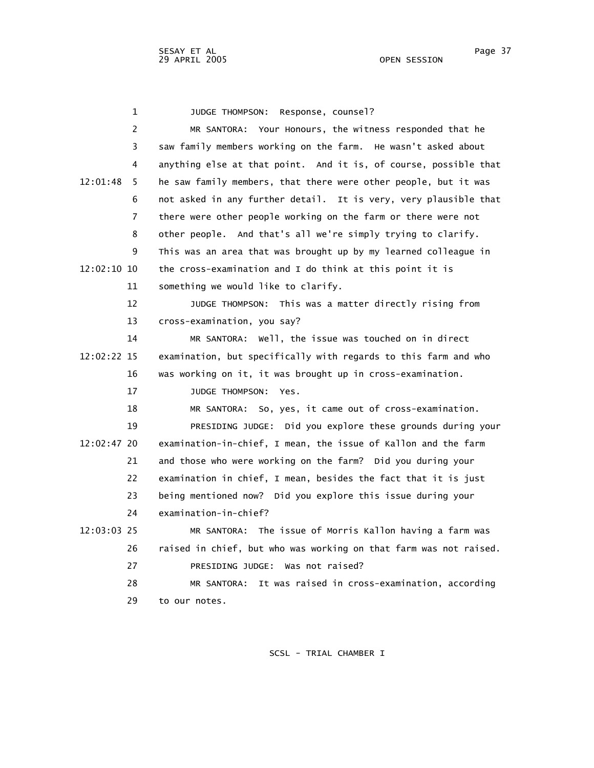1 JUDGE THOMPSON: Response, counsel? 2 MR SANTORA: Your Honours, the witness responded that he 3 saw family members working on the farm. He wasn't asked about 4 anything else at that point. And it is, of course, possible that 12:01:48 5 he saw family members, that there were other people, but it was 6 not asked in any further detail. It is very, very plausible that 7 there were other people working on the farm or there were not 8 other people. And that's all we're simply trying to clarify. 9 This was an area that was brought up by my learned colleague in 12:02:10 10 the cross-examination and I do think at this point it is 11 something we would like to clarify. 12 JUDGE THOMPSON: This was a matter directly rising from 13 cross-examination, you say? 14 MR SANTORA: Well, the issue was touched on in direct 12:02:22 15 examination, but specifically with regards to this farm and who 16 was working on it, it was brought up in cross-examination. 17 JUDGE THOMPSON: Yes. 18 MR SANTORA: So, yes, it came out of cross-examination. 19 PRESIDING JUDGE: Did you explore these grounds during your 12:02:47 20 examination-in-chief, I mean, the issue of Kallon and the farm 21 and those who were working on the farm? Did you during your 22 examination in chief, I mean, besides the fact that it is just 23 being mentioned now? Did you explore this issue during your 24 examination-in-chief? 12:03:03 25 MR SANTORA: The issue of Morris Kallon having a farm was 26 raised in chief, but who was working on that farm was not raised. 27 PRESIDING JUDGE: Was not raised? 28 MR SANTORA: It was raised in cross-examination, according 29 to our notes.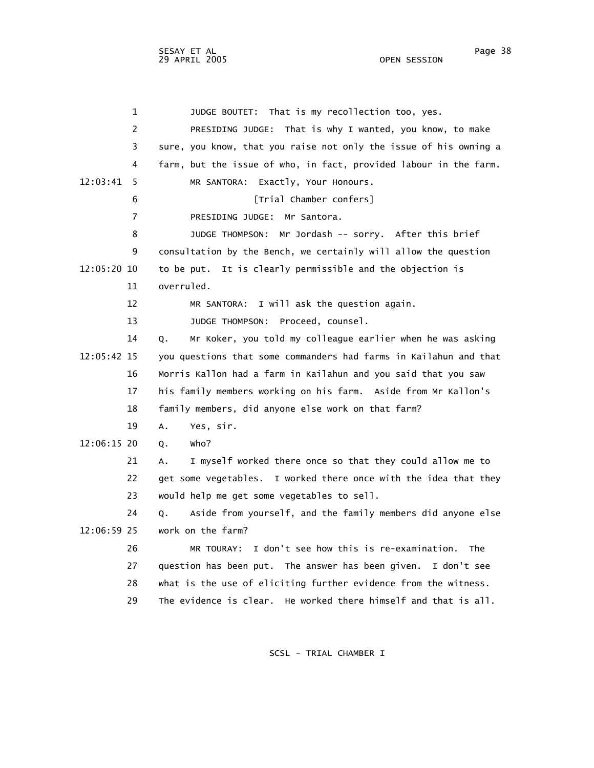1 JUDGE BOUTET: That is my recollection too, yes. 2 PRESIDING JUDGE: That is why I wanted, you know, to make 3 sure, you know, that you raise not only the issue of his owning a 4 farm, but the issue of who, in fact, provided labour in the farm. 12:03:41 5 MR SANTORA: Exactly, Your Honours. 6 **I**Trial Chamber confers 7 PRESIDING JUDGE: Mr Santora. 8 JUDGE THOMPSON: Mr Jordash -- sorry. After this brief 9 consultation by the Bench, we certainly will allow the question 12:05:20 10 to be put. It is clearly permissible and the objection is 11 overruled. 12 MR SANTORA: I will ask the question again. 13 JUDGE THOMPSON: Proceed, counsel. 14 Q. Mr Koker, you told my colleague earlier when he was asking 12:05:42 15 you questions that some commanders had farms in Kailahun and that 16 Morris Kallon had a farm in Kailahun and you said that you saw 17 his family members working on his farm. Aside from Mr Kallon's 18 family members, did anyone else work on that farm? 19 A. Yes, sir. 12:06:15 20 Q. Who? 21 A. I myself worked there once so that they could allow me to 22 get some vegetables. I worked there once with the idea that they 23 would help me get some vegetables to sell. 24 Q. Aside from yourself, and the family members did anyone else 12:06:59 25 work on the farm? 26 MR TOURAY: I don't see how this is re-examination. The 27 question has been put. The answer has been given. I don't see 28 what is the use of eliciting further evidence from the witness. 29 The evidence is clear. He worked there himself and that is all.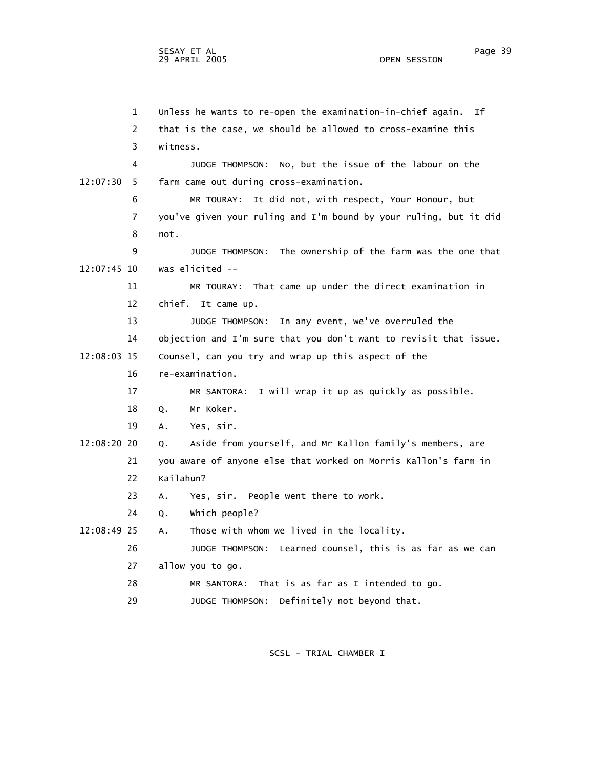1 Unless he wants to re-open the examination-in-chief again. If 2 that is the case, we should be allowed to cross-examine this 3 witness. 4 JUDGE THOMPSON: No, but the issue of the labour on the 12:07:30 5 farm came out during cross-examination. 6 MR TOURAY: It did not, with respect, Your Honour, but 7 you've given your ruling and I'm bound by your ruling, but it did 8 not. 9 JUDGE THOMPSON: The ownership of the farm was the one that 12:07:45 10 was elicited -- 11 MR TOURAY: That came up under the direct examination in 12 chief. It came up. 13 JUDGE THOMPSON: In any event, we've overruled the 14 objection and I'm sure that you don't want to revisit that issue. 12:08:03 15 Counsel, can you try and wrap up this aspect of the 16 re-examination. 17 MR SANTORA: I will wrap it up as quickly as possible. 18 Q. Mr Koker. 19 A. Yes, sir. 12:08:20 20 Q. Aside from yourself, and Mr Kallon family's members, are 21 you aware of anyone else that worked on Morris Kallon's farm in 22 Kailahun? 23 A. Yes, sir. People went there to work. 24 Q. Which people? 12:08:49 25 A. Those with whom we lived in the locality. 26 JUDGE THOMPSON: Learned counsel, this is as far as we can 27 allow you to go. 28 MR SANTORA: That is as far as I intended to go. 29 JUDGE THOMPSON: Definitely not beyond that.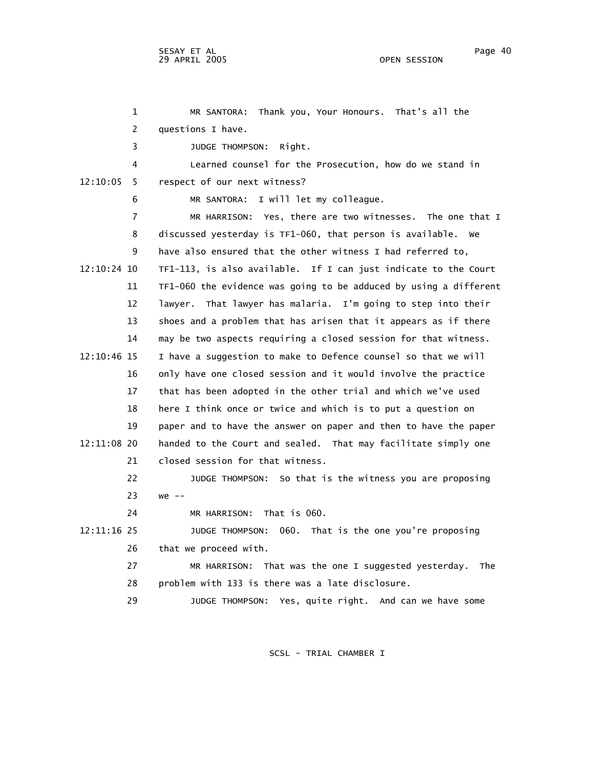1 MR SANTORA: Thank you, Your Honours. That's all the 2 questions I have. 3 JUDGE THOMPSON: Right. 4 Learned counsel for the Prosecution, how do we stand in 12:10:05 5 respect of our next witness? 6 MR SANTORA: I will let my colleague. 7 MR HARRISON: Yes, there are two witnesses. The one that I 8 discussed yesterday is TF1-060, that person is available. We 9 have also ensured that the other witness I had referred to, 12:10:24 10 TF1-113, is also available. If I can just indicate to the Court 11 TF1-060 the evidence was going to be adduced by using a different 12 lawyer. That lawyer has malaria. I'm going to step into their 13 shoes and a problem that has arisen that it appears as if there 14 may be two aspects requiring a closed session for that witness. 12:10:46 15 I have a suggestion to make to Defence counsel so that we will 16 only have one closed session and it would involve the practice 17 that has been adopted in the other trial and which we've used 18 here I think once or twice and which is to put a question on 19 paper and to have the answer on paper and then to have the paper 12:11:08 20 handed to the Court and sealed. That may facilitate simply one 21 closed session for that witness. 22 JUDGE THOMPSON: So that is the witness you are proposing 23 we -- 24 MR HARRISON: That is 060. 12:11:16 25 JUDGE THOMPSON: 060. That is the one you're proposing 26 that we proceed with. 27 MR HARRISON: That was the one I suggested yesterday. The 28 problem with 133 is there was a late disclosure. 29 JUDGE THOMPSON: Yes, quite right. And can we have some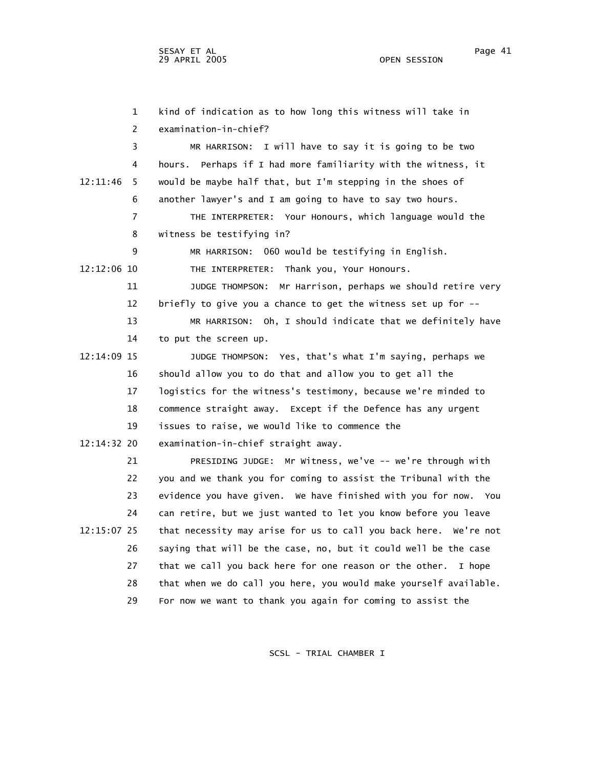1 kind of indication as to how long this witness will take in 2 examination-in-chief? 3 MR HARRISON: I will have to say it is going to be two 4 hours. Perhaps if I had more familiarity with the witness, it 12:11:46 5 would be maybe half that, but I'm stepping in the shoes of 6 another lawyer's and I am going to have to say two hours. 7 THE INTERPRETER: Your Honours, which language would the 8 witness be testifying in? 9 MR HARRISON: 060 would be testifying in English. 12:12:06 10 THE INTERPRETER: Thank you, Your Honours. 11 JUDGE THOMPSON: Mr Harrison, perhaps we should retire very 12 briefly to give you a chance to get the witness set up for -- 13 MR HARRISON: Oh, I should indicate that we definitely have 14 to put the screen up. 12:14:09 15 JUDGE THOMPSON: Yes, that's what I'm saying, perhaps we 16 should allow you to do that and allow you to get all the 17 logistics for the witness's testimony, because we're minded to 18 commence straight away. Except if the Defence has any urgent 19 issues to raise, we would like to commence the 12:14:32 20 examination-in-chief straight away. 21 PRESIDING JUDGE: Mr Witness, we've -- we're through with 22 you and we thank you for coming to assist the Tribunal with the 23 evidence you have given. We have finished with you for now. You 24 can retire, but we just wanted to let you know before you leave 12:15:07 25 that necessity may arise for us to call you back here. We're not 26 saying that will be the case, no, but it could well be the case 27 that we call you back here for one reason or the other. I hope 28 that when we do call you here, you would make yourself available. 29 For now we want to thank you again for coming to assist the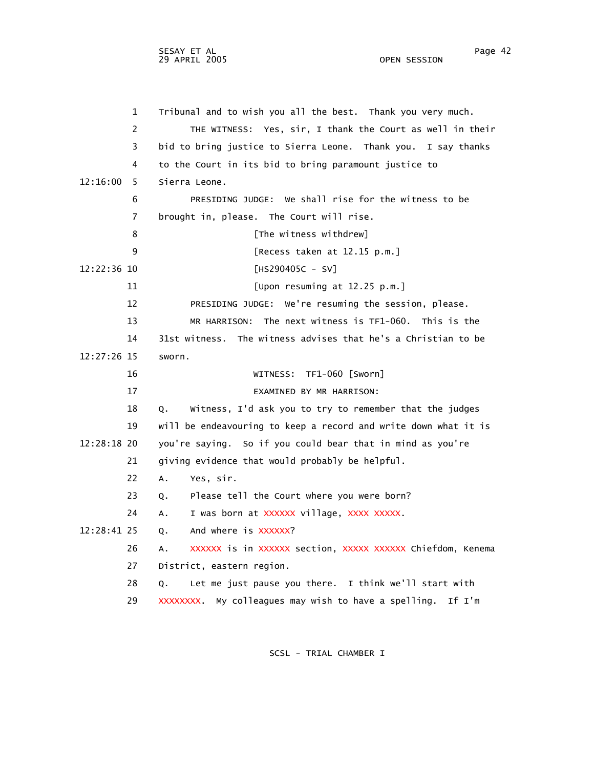1 Tribunal and to wish you all the best. Thank you very much. 2 THE WITNESS: Yes, sir, I thank the Court as well in their 3 bid to bring justice to Sierra Leone. Thank you. I say thanks 4 to the Court in its bid to bring paramount justice to 12:16:00 5 Sierra Leone. 6 PRESIDING JUDGE: We shall rise for the witness to be 7 brought in, please. The Court will rise. 8 **B** [The witness withdrew] 9 [Recess taken at 12.15 p.m.] 12:22:36 10 [HS290405C - SV] 11 [Upon resuming at 12.25 p.m.] 12 PRESIDING JUDGE: We're resuming the session, please. 13 MR HARRISON: The next witness is TF1-060. This is the 14 31st witness. The witness advises that he's a Christian to be 12:27:26 15 sworn. 16 WITNESS: TF1-060 [Sworn] 17 EXAMINED BY MR HARRISON: 18 Q. Witness, I'd ask you to try to remember that the judges 19 will be endeavouring to keep a record and write down what it is 12:28:18 20 you're saying. So if you could bear that in mind as you're 21 giving evidence that would probably be helpful. 22 A. Yes, sir. 23 Q. Please tell the Court where you were born? 24 A. I was born at XXXXXX village, XXXX XXXXX. 12:28:41 25 Q. And where is XXXXXX? 26 A. XXXXXX is in XXXXXX section, XXXXX XXXXXX Chiefdom, Kenema 27 District, eastern region. 28 Q. Let me just pause you there. I think we'll start with 29 XXXXXXXX. My colleagues may wish to have a spelling. If I'm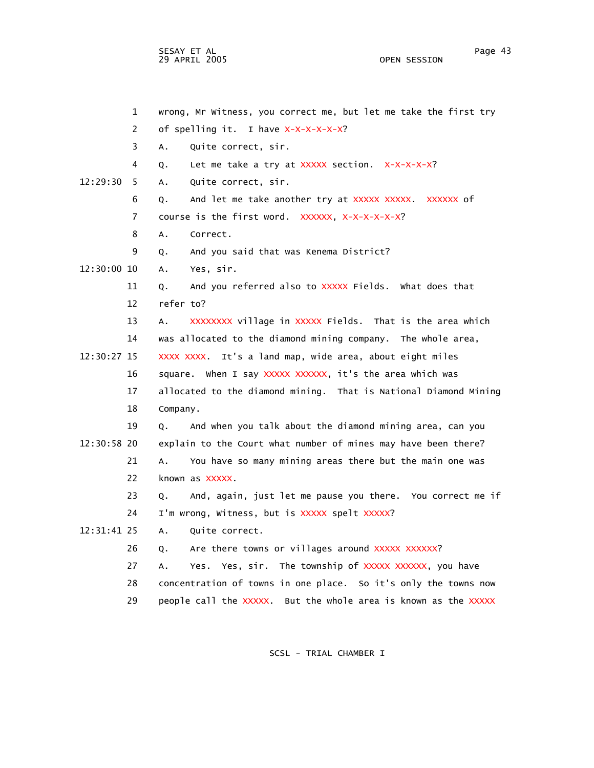SESAY ET AL Page 43 29 APRIL 2005

 1 wrong, Mr Witness, you correct me, but let me take the first try 2 of spelling it. I have X-X-X-X-X-X? 3 A. Quite correct, sir. 4 Q. Let me take a try at XXXXX section. X-X-X-X-X? 12:29:30 5 A. Quite correct, sir. 6 Q. And let me take another try at XXXXX XXXXX. XXXXXX of 7 course is the first word. XXXXXX, X-X-X-X-X-X? 8 A. Correct. 9 Q. And you said that was Kenema District? 12:30:00 10 A. Yes, sir. 11 Q. And you referred also to XXXXX Fields. What does that 12 refer to? 13 A. XXXXXXXX village in XXXXX Fields. That is the area which 14 was allocated to the diamond mining company. The whole area, 12:30:27 15 XXXX XXXX. It's a land map, wide area, about eight miles 16 square. When I say XXXXX XXXXXX, it's the area which was 17 allocated to the diamond mining. That is National Diamond Mining 18 Company. 19 Q. And when you talk about the diamond mining area, can you 12:30:58 20 explain to the Court what number of mines may have been there? 21 A. You have so many mining areas there but the main one was 22 known as XXXXX. 23 Q. And, again, just let me pause you there. You correct me if 24 I'm wrong, Witness, but is XXXXX spelt XXXXX? 12:31:41 25 A. Quite correct. 26 Q. Are there towns or villages around XXXXX XXXXXX? 27 A. Yes. Yes, sir. The township of XXXXX XXXXXX, you have 28 concentration of towns in one place. So it's only the towns now 29 people call the XXXXX. But the whole area is known as the XXXXX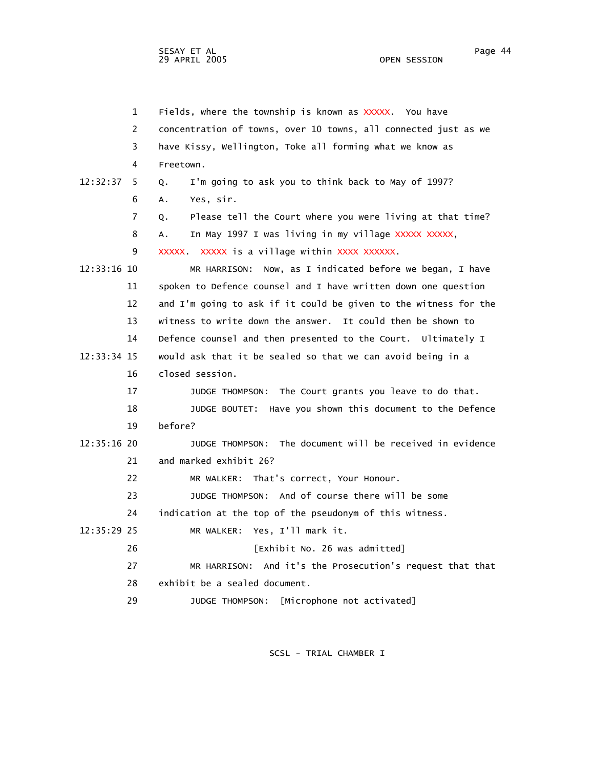1 Fields, where the township is known as XXXXX. You have 2 concentration of towns, over 10 towns, all connected just as we 3 have Kissy, Wellington, Toke all forming what we know as 4 Freetown. 12:32:37 5 Q. I'm going to ask you to think back to May of 1997? 6 A. Yes, sir. 7 Q. Please tell the Court where you were living at that time? 8 A. In May 1997 I was living in my village XXXXX XXXXX, 9 XXXXX. XXXXX is a village within XXXX XXXXXX. 12:33:16 10 MR HARRISON: Now, as I indicated before we began, I have 11 spoken to Defence counsel and I have written down one question 12 and I'm going to ask if it could be given to the witness for the 13 witness to write down the answer. It could then be shown to 14 Defence counsel and then presented to the Court. Ultimately I 12:33:34 15 would ask that it be sealed so that we can avoid being in a 16 closed session. 17 JUDGE THOMPSON: The Court grants you leave to do that. 18 JUDGE BOUTET: Have you shown this document to the Defence 19 before? 12:35:16 20 JUDGE THOMPSON: The document will be received in evidence 21 and marked exhibit 26? 22 MR WALKER: That's correct, Your Honour. 23 JUDGE THOMPSON: And of course there will be some 24 indication at the top of the pseudonym of this witness. 12:35:29 25 MR WALKER: Yes, I'll mark it. 26 [Exhibit No. 26 was admitted] 27 MR HARRISON: And it's the Prosecution's request that that 28 exhibit be a sealed document. 29 JUDGE THOMPSON: [Microphone not activated]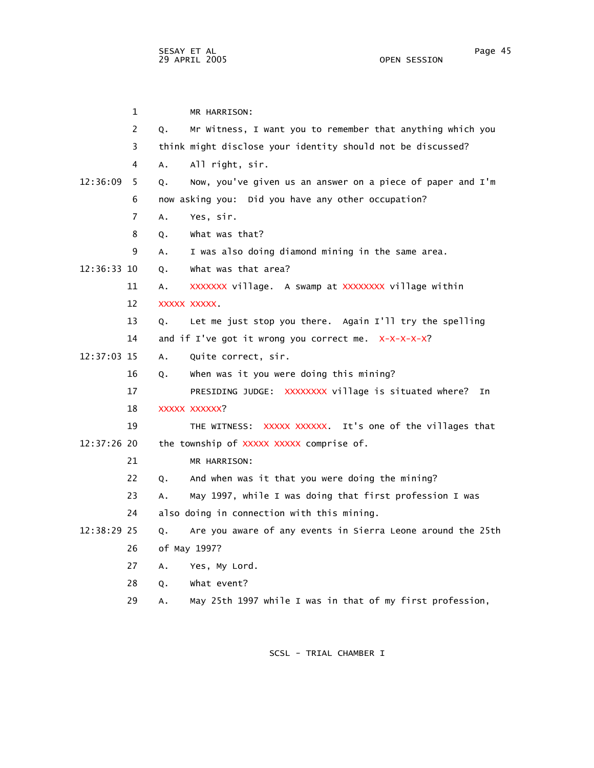1 MR HARRISON: 2 Q. Mr Witness, I want you to remember that anything which you 3 think might disclose your identity should not be discussed? 4 A. All right, sir. 12:36:09 5 Q. Now, you've given us an answer on a piece of paper and I'm 6 now asking you: Did you have any other occupation? 7 A. Yes, sir. 8 Q. What was that? 9 A. I was also doing diamond mining in the same area. 12:36:33 10 Q. What was that area? 11 A. XXXXXXX village. A swamp at XXXXXXXX village within 12 XXXXX XXXXX. 13 Q. Let me just stop you there. Again I'll try the spelling 14 and if I've got it wrong you correct me. X-X-X-X-X? 12:37:03 15 A. Quite correct, sir. 16 Q. When was it you were doing this mining? 17 PRESIDING JUDGE: XXXXXXXX village is situated where? In 18 XXXXX XXXXXX? 19 THE WITNESS: XXXXX XXXXXX. It's one of the villages that 12:37:26 20 the township of XXXXX XXXXX comprise of. 21 MR HARRISON: 22 Q. And when was it that you were doing the mining? 23 A. May 1997, while I was doing that first profession I was 24 also doing in connection with this mining. 12:38:29 25 Q. Are you aware of any events in Sierra Leone around the 25th 26 of May 1997? 27 A. Yes, My Lord. 28 Q. What event? 29 A. May 25th 1997 while I was in that of my first profession,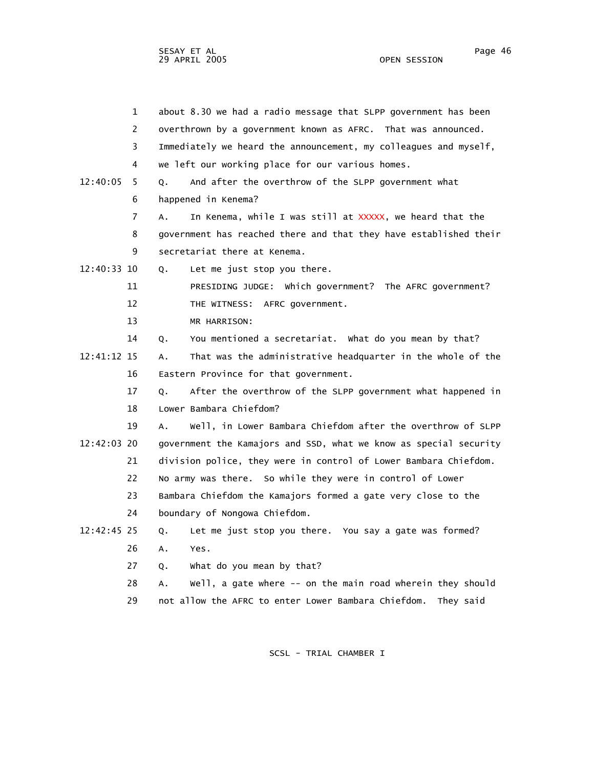1 about 8.30 we had a radio message that SLPP government has been 2 overthrown by a government known as AFRC. That was announced. 3 Immediately we heard the announcement, my colleagues and myself, 4 we left our working place for our various homes. 12:40:05 5 Q. And after the overthrow of the SLPP government what 6 happened in Kenema? 7 A. In Kenema, while I was still at XXXXX, we heard that the 8 government has reached there and that they have established their 9 secretariat there at Kenema. 12:40:33 10 Q. Let me just stop you there. 11 PRESIDING JUDGE: Which government? The AFRC government? 12 THE WITNESS: AFRC government. 13 MR HARRISON: 14 Q. You mentioned a secretariat. What do you mean by that? 12:41:12 15 A. That was the administrative headquarter in the whole of the 16 Eastern Province for that government. 17 Q. After the overthrow of the SLPP government what happened in 18 Lower Bambara Chiefdom? 19 A. Well, in Lower Bambara Chiefdom after the overthrow of SLPP 12:42:03 20 government the Kamajors and SSD, what we know as special security 21 division police, they were in control of Lower Bambara Chiefdom. 22 No army was there. So while they were in control of Lower 23 Bambara Chiefdom the Kamajors formed a gate very close to the 24 boundary of Nongowa Chiefdom. 12:42:45 25 Q. Let me just stop you there. You say a gate was formed? 26 A. Yes. 27 Q. What do you mean by that? 28 A. Well, a gate where -- on the main road wherein they should 29 not allow the AFRC to enter Lower Bambara Chiefdom. They said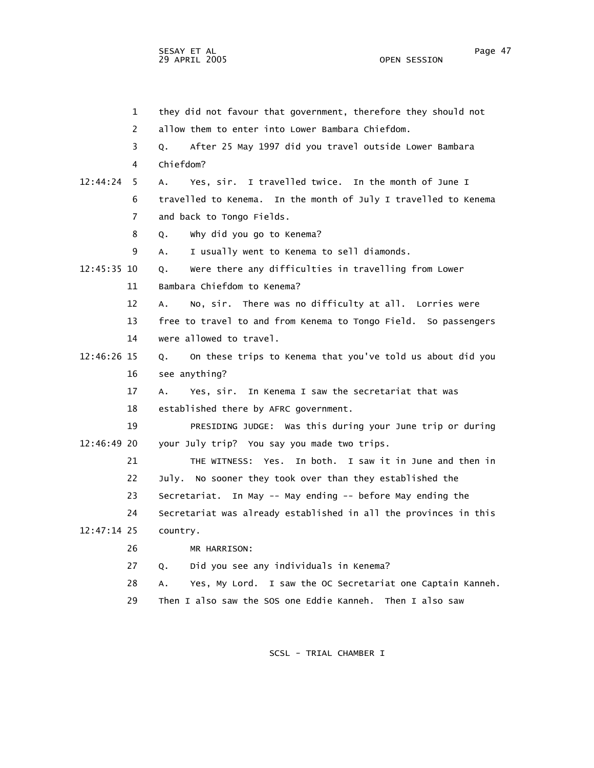1 they did not favour that government, therefore they should not 2 allow them to enter into Lower Bambara Chiefdom. 3 Q. After 25 May 1997 did you travel outside Lower Bambara 4 Chiefdom? 12:44:24 5 A. Yes, sir. I travelled twice. In the month of June I 6 travelled to Kenema. In the month of July I travelled to Kenema 7 and back to Tongo Fields. 8 Q. Why did you go to Kenema? 9 A. I usually went to Kenema to sell diamonds. 12:45:35 10 Q. Were there any difficulties in travelling from Lower 11 Bambara Chiefdom to Kenema? 12 A. No, sir. There was no difficulty at all. Lorries were 13 free to travel to and from Kenema to Tongo Field. So passengers 14 were allowed to travel. 12:46:26 15 Q. On these trips to Kenema that you've told us about did you 16 see anything? 17 A. Yes, sir. In Kenema I saw the secretariat that was 18 established there by AFRC government. 19 PRESIDING JUDGE: Was this during your June trip or during 12:46:49 20 your July trip? You say you made two trips. 21 THE WITNESS: Yes. In both. I saw it in June and then in 22 July. No sooner they took over than they established the 23 Secretariat. In May -- May ending -- before May ending the 24 Secretariat was already established in all the provinces in this 12:47:14 25 country. 26 MR HARRISON: 27 Q. Did you see any individuals in Kenema? 28 A. Yes, My Lord. I saw the OC Secretariat one Captain Kanneh. 29 Then I also saw the SOS one Eddie Kanneh. Then I also saw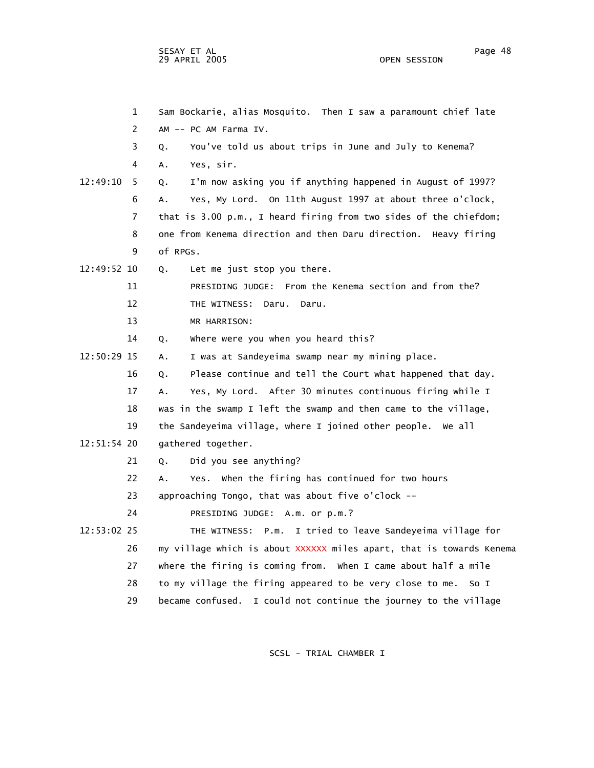SESAY ET AL Page 48 29 APRIL 2005

 1 Sam Bockarie, alias Mosquito. Then I saw a paramount chief late 2 AM -- PC AM Farma IV. 3 Q. You've told us about trips in June and July to Kenema? 4 A. Yes, sir. 12:49:10 5 Q. I'm now asking you if anything happened in August of 1997? 6 A. Yes, My Lord. On 11th August 1997 at about three o'clock, 7 that is 3.00 p.m., I heard firing from two sides of the chiefdom; 8 one from Kenema direction and then Daru direction. Heavy firing 9 of RPGs. 12:49:52 10 Q. Let me just stop you there. 11 PRESIDING JUDGE: From the Kenema section and from the? 12 THE WITNESS: Daru. Daru. 13 MR HARRISON: 14 Q. Where were you when you heard this? 12:50:29 15 A. I was at Sandeyeima swamp near my mining place. 16 Q. Please continue and tell the Court what happened that day. 17 A. Yes, My Lord. After 30 minutes continuous firing while I 18 was in the swamp I left the swamp and then came to the village, 19 the Sandeyeima village, where I joined other people. We all 12:51:54 20 gathered together. 21 Q. Did you see anything? 22 A. Yes. When the firing has continued for two hours 23 approaching Tongo, that was about five o'clock -- 24 PRESIDING JUDGE: A.m. or p.m.? 12:53:02 25 THE WITNESS: P.m. I tried to leave Sandeyeima village for 26 my village which is about XXXXXX miles apart, that is towards Kenema 27 where the firing is coming from. When I came about half a mile 28 to my village the firing appeared to be very close to me. So I 29 became confused. I could not continue the journey to the village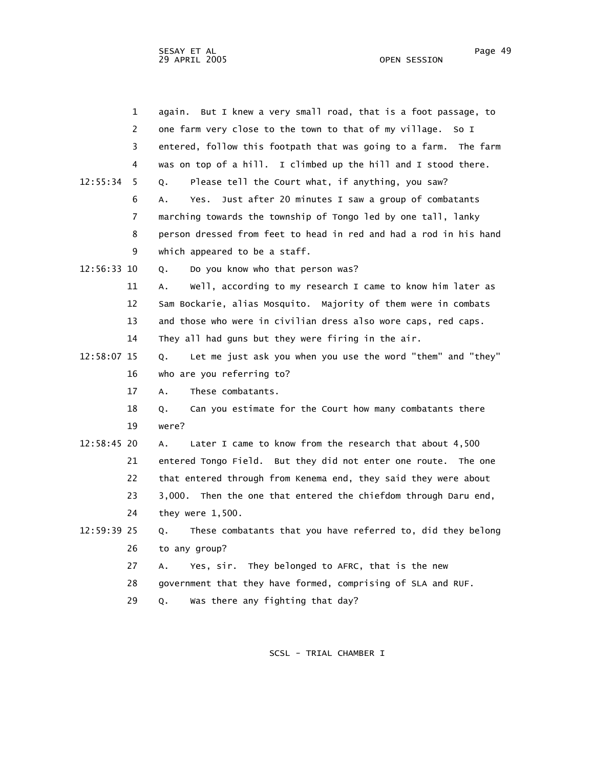| 1             | But I knew a very small road, that is a foot passage, to<br>aqain. |
|---------------|--------------------------------------------------------------------|
| 2             | one farm very close to the town to that of my village.<br>So I     |
| 3             | entered, follow this footpath that was going to a farm. The farm   |
| 4             | was on top of a hill. I climbed up the hill and I stood there.     |
| 12:55:34<br>5 | Please tell the Court what, if anything, you saw?<br>0.            |
| 6             | Just after 20 minutes I saw a group of combatants<br>Α.<br>Yes.    |
| 7             | marching towards the township of Tongo led by one tall, lanky      |
| 8             | person dressed from feet to head in red and had a rod in his hand  |
| 9             | which appeared to be a staff.                                      |
| 12:56:33 10   | Do you know who that person was?<br>0.                             |
| 11            | Well, according to my research I came to know him later as<br>А.   |
| 12            | Sam Bockarie, alias Mosquito. Majority of them were in combats     |
| 13            | and those who were in civilian dress also wore caps, red caps.     |
| 14            | They all had guns but they were firing in the air.                 |
| 12:58:07 15   | Let me just ask you when you use the word "them" and "they"<br>Q.  |
| 16            | who are you referring to?                                          |
| 17            | These combatants.<br>$A$ .                                         |
| 18            | Can you estimate for the Court how many combatants there<br>Q.     |
| 19            | were?                                                              |
| 12:58:45 20   | Later I came to know from the research that about 4,500<br>Α.      |
| 21            | entered Tongo Field. But they did not enter one route. The one     |
| 22            | that entered through from Kenema end, they said they were about    |
| 23            | Then the one that entered the chiefdom through Daru end,<br>3,000. |
| 24            | they were $1,500$ .                                                |
| 12:59:39 25   | These combatants that you have referred to, did they belong<br>Q.  |
| 26            | to any group?                                                      |
| 27            | Yes, sir. They belonged to AFRC, that is the new<br>Α.             |
| 28            | government that they have formed, comprising of SLA and RUF.       |
| 29            | Was there any fighting that day?<br>Q.                             |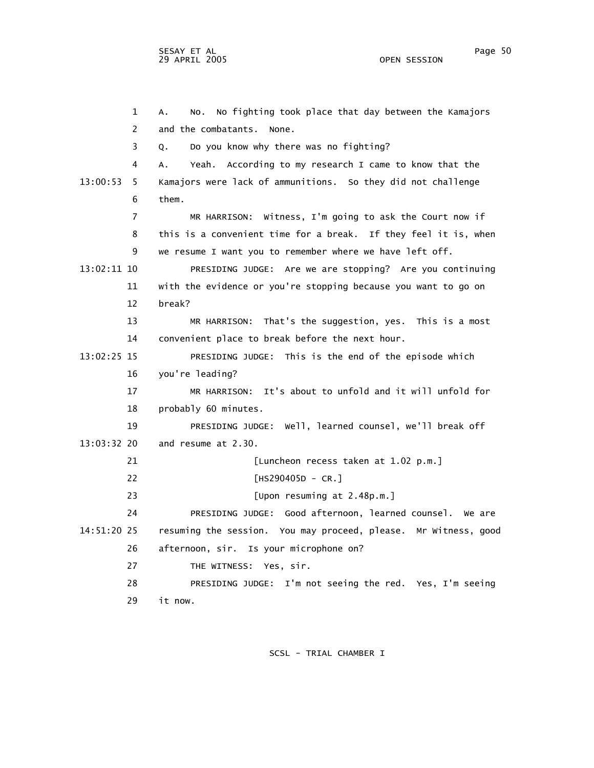1 A. No. No fighting took place that day between the Kamajors 2 and the combatants. None. 3 Q. Do you know why there was no fighting? 4 A. Yeah. According to my research I came to know that the 13:00:53 5 Kamajors were lack of ammunitions. So they did not challenge 6 them. 7 MR HARRISON: Witness, I'm going to ask the Court now if 8 this is a convenient time for a break. If they feel it is, when 9 we resume I want you to remember where we have left off. 13:02:11 10 PRESIDING JUDGE: Are we are stopping? Are you continuing 11 with the evidence or you're stopping because you want to go on 12 break? 13 MR HARRISON: That's the suggestion, yes. This is a most 14 convenient place to break before the next hour. 13:02:25 15 PRESIDING JUDGE: This is the end of the episode which 16 you're leading? 17 MR HARRISON: It's about to unfold and it will unfold for 18 probably 60 minutes. 19 PRESIDING JUDGE: Well, learned counsel, we'll break off 13:03:32 20 and resume at 2.30. 21 [Luncheon recess taken at 1.02 p.m.] 22 [HS290405D - CR.] 23 [Upon resuming at 2.48p.m.] 24 PRESIDING JUDGE: Good afternoon, learned counsel. We are 14:51:20 25 resuming the session. You may proceed, please. Mr Witness, good 26 afternoon, sir. Is your microphone on? 27 THE WITNESS: Yes, sir. 28 PRESIDING JUDGE: I'm not seeing the red. Yes, I'm seeing

29 it now.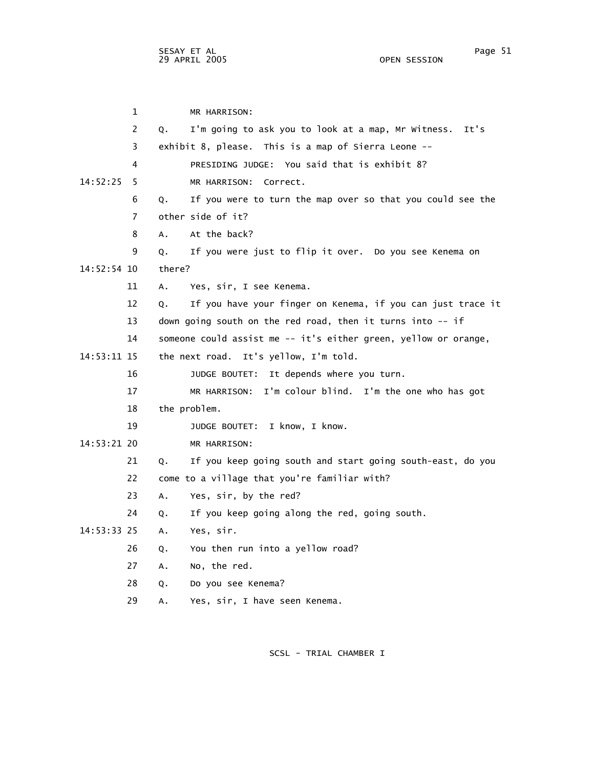1 MR HARRISON: 2 Q. I'm going to ask you to look at a map, Mr Witness. It's 3 exhibit 8, please. This is a map of Sierra Leone -- 4 PRESIDING JUDGE: You said that is exhibit 8? 14:52:25 5 MR HARRISON: Correct. 6 Q. If you were to turn the map over so that you could see the 7 other side of it? 8 A. At the back? 9 Q. If you were just to flip it over. Do you see Kenema on 14:52:54 10 there? 11 A. Yes, sir, I see Kenema. 12 Q. If you have your finger on Kenema, if you can just trace it 13 down going south on the red road, then it turns into -- if 14 someone could assist me -- it's either green, yellow or orange, 14:53:11 15 the next road. It's yellow, I'm told. 16 JUDGE BOUTET: It depends where you turn. 17 MR HARRISON: I'm colour blind. I'm the one who has got 18 the problem. 19 JUDGE BOUTET: I know, I know. 14:53:21 20 MR HARRISON: 21 Q. If you keep going south and start going south-east, do you 22 come to a village that you're familiar with? 23 A. Yes, sir, by the red? 24 Q. If you keep going along the red, going south. 14:53:33 25 A. Yes, sir. 26 Q. You then run into a yellow road? 27 A. No, the red. 28 Q. Do you see Kenema?

SCSL - TRIAL CHAMBER I

29 A. Yes, sir, I have seen Kenema.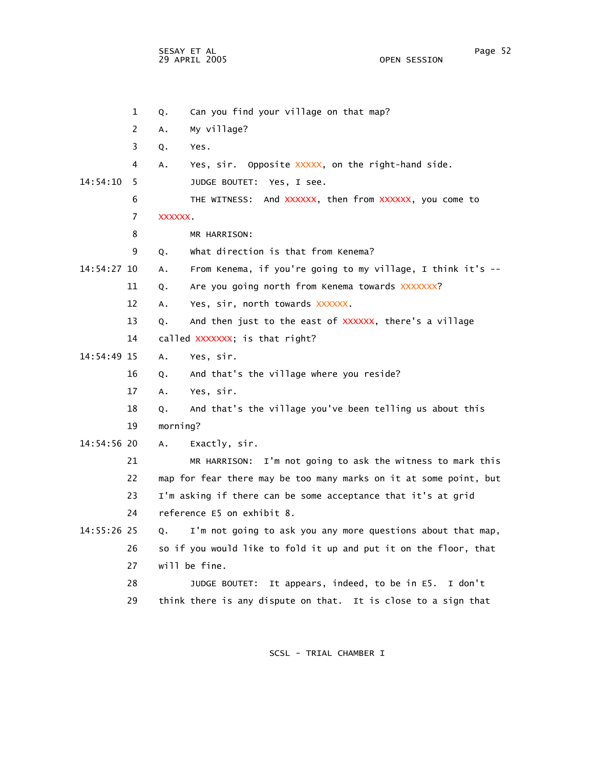SESAY ET AL Page 52 29 APRIL 2005

 1 Q. Can you find your village on that map? 2 A. My village? 3 Q. Yes. 4 A. Yes, sir. Opposite XXXXX, on the right-hand side. 14:54:10 5 JUDGE BOUTET: Yes, I see. 6 THE WITNESS: And XXXXXX, then from XXXXXX, you come to 7 XXXXXX. 8 MR HARRISON: 9 Q. What direction is that from Kenema? 14:54:27 10 A. From Kenema, if you're going to my village, I think it's -- 11 Q. Are you going north from Kenema towards XXXXXXXX? 12 A. Yes, sir, north towards XXXXXX. 13 Q. And then just to the east of XXXXXX, there's a village 14 called XXXXXXX; is that right? 14:54:49 15 A. Yes, sir. 16 Q. And that's the village where you reside? 17 A. Yes, sir. 18 Q. And that's the village you've been telling us about this 19 morning? 14:54:56 20 A. Exactly, sir. 21 MR HARRISON: I'm not going to ask the witness to mark this 22 map for fear there may be too many marks on it at some point, but 23 I'm asking if there can be some acceptance that it's at grid 24 reference E5 on exhibit 8. 14:55:26 25 Q. I'm not going to ask you any more questions about that map, 26 so if you would like to fold it up and put it on the floor, that 27 will be fine. 28 JUDGE BOUTET: It appears, indeed, to be in E5. I don't 29 think there is any dispute on that. It is close to a sign that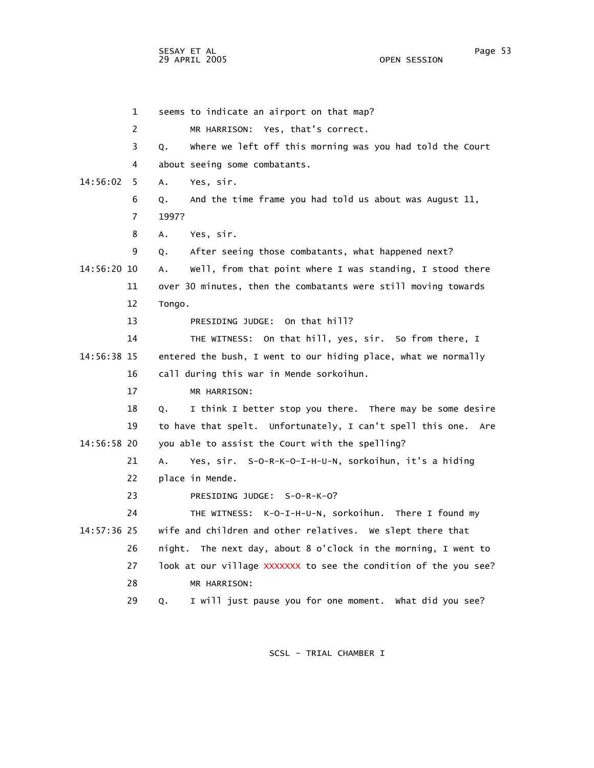SESAY ET AL Page 53 29 APRIL 2005

 1 seems to indicate an airport on that map? 2 MR HARRISON: Yes, that's correct. 3 Q. Where we left off this morning was you had told the Court 4 about seeing some combatants. 14:56:02 5 A. Yes, sir. 6 Q. And the time frame you had told us about was August 11, 7 1997? 8 A. Yes, sir. 9 Q. After seeing those combatants, what happened next? 14:56:20 10 A. Well, from that point where I was standing, I stood there 11 over 30 minutes, then the combatants were still moving towards 12 Tongo. 13 PRESIDING JUDGE: On that hill? 14 THE WITNESS: On that hill, yes, sir. So from there, I 14:56:38 15 entered the bush, I went to our hiding place, what we normally 16 call during this war in Mende sorkoihun. 17 MR HARRISON: 18 Q. I think I better stop you there. There may be some desire 19 to have that spelt. Unfortunately, I can't spell this one. Are 14:56:58 20 you able to assist the Court with the spelling? 21 A. Yes, sir. S-O-R-K-O-I-H-U-N, sorkoihun, it's a hiding 22 place in Mende. 23 PRESIDING JUDGE: S-O-R-K-O? 24 THE WITNESS: K-O-I-H-U-N, sorkoihun. There I found my 14:57:36 25 wife and children and other relatives. We slept there that 26 night. The next day, about 8 o'clock in the morning, I went to 27 look at our village XXXXXXX to see the condition of the you see? 28 MR HARRISON: 29 Q. I will just pause you for one moment. What did you see?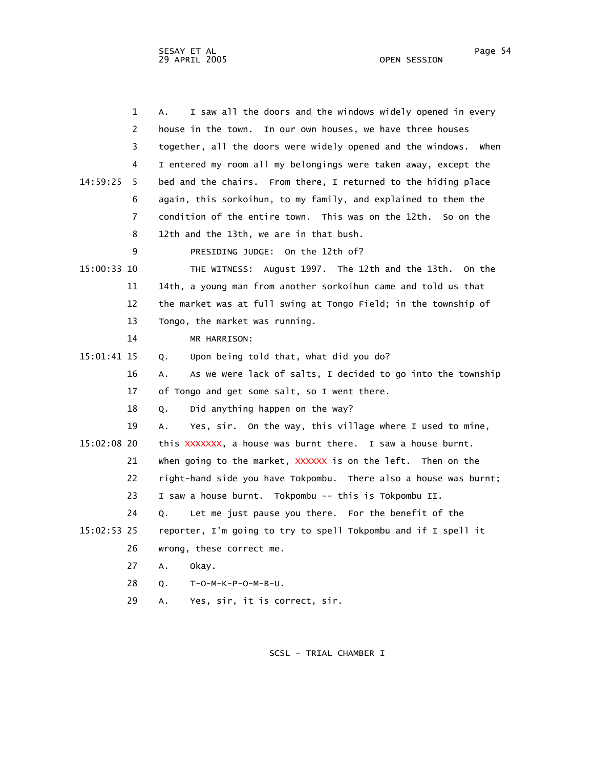| $\mathbf 1$    | I saw all the doors and the windows widely opened in every<br>А.    |
|----------------|---------------------------------------------------------------------|
| 2              | house in the town.<br>In our own houses, we have three houses       |
| 3              | together, all the doors were widely opened and the windows.<br>when |
| 4              | I entered my room all my belongings were taken away, except the     |
| 14:59:25<br>5. | bed and the chairs. From there, I returned to the hiding place      |
| 6              | again, this sorkoihun, to my family, and explained to them the      |
| $\overline{7}$ | condition of the entire town. This was on the 12th. So on the       |
| 8              | 12th and the 13th, we are in that bush.                             |
| 9              | PRESIDING JUDGE: On the 12th of?                                    |
| 15:00:33 10    | THE WITNESS: August 1997. The 12th and the 13th.<br>On the          |
| 11             | 14th, a young man from another sorkoihun came and told us that      |
| 12             | the market was at full swing at Tongo Field; in the township of     |
| 13             | Tongo, the market was running.                                      |
| 14             | MR HARRISON:                                                        |
| 15:01:41 15    | Upon being told that, what did you do?<br>Q.                        |
| 16             | As we were lack of salts, I decided to go into the township<br>А.   |
| 17             | of Tongo and get some salt, so I went there.                        |
| 18             | Did anything happen on the way?<br>Q.                               |
| 19             | Yes, sir. On the way, this village where I used to mine,<br>А.      |
| 15:02:08 20    | this XXXXXXX, a house was burnt there. I saw a house burnt.         |
| 21             | when going to the market, XXXXXX is on the left. Then on the        |
| 22             | right-hand side you have Tokpombu. There also a house was burnt;    |
| 23             | I saw a house burnt. Tokpombu -- this is Tokpombu II.               |
| 24             | Let me just pause you there. For the benefit of the<br>0.           |
| 15:02:53 25    | reporter, I'm going to try to spell Tokpombu and if I spell it      |
| 26             | wrong, these correct me.                                            |
| 27             | A.<br>okay.                                                         |
| 28             | Q.<br>$T - 0 - M - K - P - 0 - M - B - U$ .                         |
| 29             | Yes, sir, it is correct, sir.<br>А.                                 |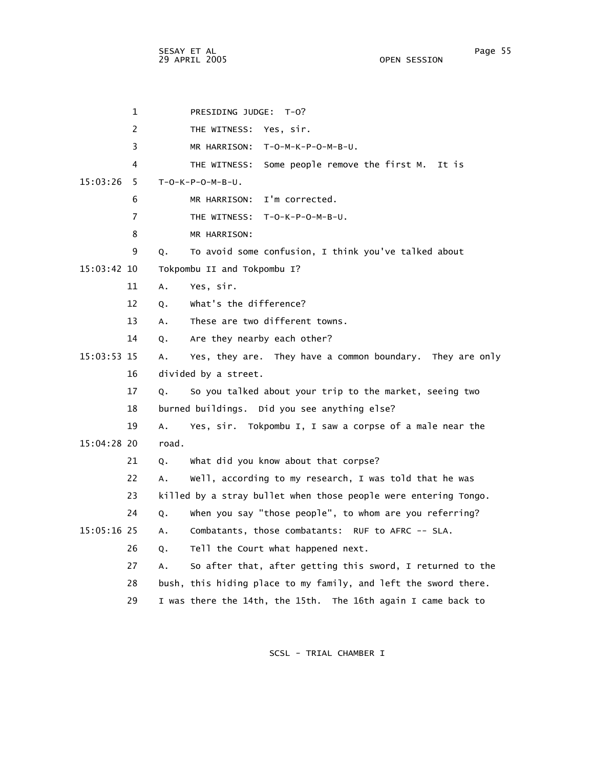SESAY ET AL Page 55 29 APRIL 2005

 1 PRESIDING JUDGE: T-O? 2 THE WITNESS: Yes, sir. 3 MR HARRISON: T-O-M-K-P-O-M-B-U. 4 THE WITNESS: Some people remove the first M. It is 15:03:26 5 T-O-K-P-O-M-B-U. 6 MR HARRISON: I'm corrected. 7 THE WITNESS: T-O-K-P-O-M-B-U. 8 MR HARRISON: 9 Q. To avoid some confusion, I think you've talked about 15:03:42 10 Tokpombu II and Tokpombu I? 11 A. Yes, sir. 12 Q. What's the difference? 13 A. These are two different towns. 14 Q. Are they nearby each other? 15:03:53 15 A. Yes, they are. They have a common boundary. They are only 16 divided by a street. 17 Q. So you talked about your trip to the market, seeing two 18 burned buildings. Did you see anything else? 19 A. Yes, sir. Tokpombu I, I saw a corpse of a male near the 15:04:28 20 road. 21 Q. What did you know about that corpse? 22 A. Well, according to my research, I was told that he was 23 killed by a stray bullet when those people were entering Tongo. 24 Q. When you say "those people", to whom are you referring? 15:05:16 25 A. Combatants, those combatants: RUF to AFRC -- SLA. 26 Q. Tell the Court what happened next. 27 A. So after that, after getting this sword, I returned to the 28 bush, this hiding place to my family, and left the sword there. 29 I was there the 14th, the 15th. The 16th again I came back to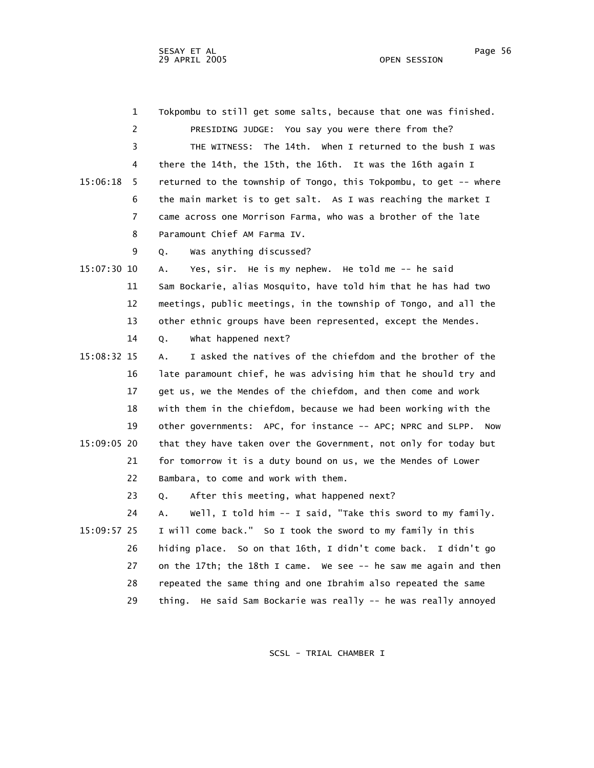| 1              | Tokpombu to still get some salts, because that one was finished.   |
|----------------|--------------------------------------------------------------------|
| 2              | PRESIDING JUDGE: You say you were there from the?                  |
| 3              | The 14th. When I returned to the bush I was<br>THE WITNESS:        |
| 4              | there the 14th, the 15th, the 16th. It was the 16th again I        |
| 15:06:18<br>5  | returned to the township of Tongo, this Tokpombu, to get -- where  |
| 6              | the main market is to get salt. As I was reaching the market I     |
| $\overline{7}$ | came across one Morrison Farma, who was a brother of the late      |
| 8              | Paramount Chief AM Farma IV.                                       |
| 9              | Was anything discussed?<br>Q.                                      |
| 15:07:30 10    | Yes, sir. He is my nephew. He told me -- he said<br>А.             |
| 11             | Sam Bockarie, alias Mosquito, have told him that he has had two    |
| 12             | meetings, public meetings, in the township of Tongo, and all the   |
| 13             | other ethnic groups have been represented, except the Mendes.      |
| 14             | what happened next?<br>Q.                                          |
| 15:08:32 15    | I asked the natives of the chiefdom and the brother of the<br>А.   |
| 16             | late paramount chief, he was advising him that he should try and   |
| 17             | get us, we the Mendes of the chiefdom, and then come and work      |
| 18             | with them in the chiefdom, because we had been working with the    |
| 19             | other governments: APC, for instance -- APC; NPRC and SLPP. Now    |
| 15:09:05 20    | that they have taken over the Government, not only for today but   |
| 21             | for tomorrow it is a duty bound on us, we the Mendes of Lower      |
| 22             | Bambara, to come and work with them.                               |
| 23             | After this meeting, what happened next?<br>Q.                      |
| 24             | Well, I told him -- I said, "Take this sword to my family.<br>А.   |
| 15:09:57 25    | I will come back." So I took the sword to my family in this        |
| 26             | hiding place. So on that 16th, I didn't come back. I didn't go     |
| 27             | on the 17th; the 18th I came. We see -- he saw me again and then   |
| 28             | repeated the same thing and one Ibrahim also repeated the same     |
| 29             | He said Sam Bockarie was really -- he was really annoyed<br>thing. |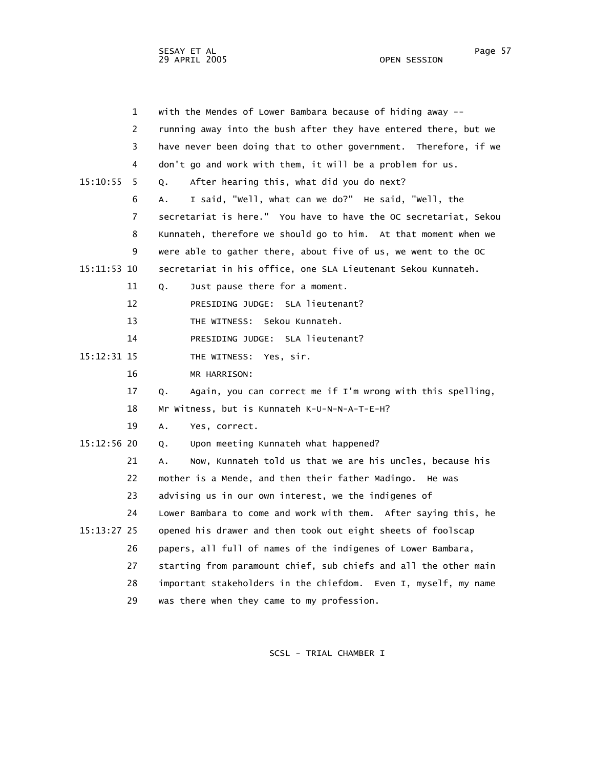sesay et al. International and the session of the session of the session of the session of the session of the s 29 APRIL 2005 OPEN SESSION

|               | $\mathbf{1}$   | with the Mendes of Lower Bambara because of hiding away --       |
|---------------|----------------|------------------------------------------------------------------|
|               | 2              | running away into the bush after they have entered there, but we |
|               | 3              | have never been doing that to other government. Therefore, if we |
|               | 4              | don't go and work with them, it will be a problem for us.        |
| 15:10:55      | 5.             | After hearing this, what did you do next?<br>О.                  |
|               | 6              | I said, "Well, what can we do?" He said, "Well, the<br>А.        |
|               | $\overline{7}$ | secretariat is here." You have to have the OC secretariat, Sekou |
|               | 8              | Kunnateh, therefore we should go to him. At that moment when we  |
|               | 9              | were able to gather there, about five of us, we went to the OC   |
| 15:11:53 10   |                | secretariat in his office, one SLA Lieutenant Sekou Kunnateh.    |
|               | 11             | Just pause there for a moment.<br>Q.                             |
|               | 12             | PRESIDING JUDGE: SLA lieutenant?                                 |
|               | 13             | THE WITNESS: Sekou Kunnateh.                                     |
|               | 14             | PRESIDING JUDGE: SLA lieutenant?                                 |
| 15:12:31 15   |                | THE WITNESS: Yes, sir.                                           |
|               | 16             | MR HARRISON:                                                     |
|               | 17             | Again, you can correct me if I'm wrong with this spelling,<br>Q. |
|               | 18             | Mr Witness, but is Kunnateh K-U-N-N-A-T-E-H?                     |
|               | 19             | Α.<br>Yes, correct.                                              |
| $15:12:56$ 20 |                | Upon meeting Kunnateh what happened?<br>Q.                       |
|               | 21             | Now, Kunnateh told us that we are his uncles, because his<br>А.  |
|               | 22             | mother is a Mende, and then their father Madingo. He was         |
|               | 23             | advising us in our own interest, we the indigenes of             |
|               | 24             | Lower Bambara to come and work with them. After saying this, he  |
| 15:13:27 25   |                | opened his drawer and then took out eight sheets of foolscap     |
|               | 26             | papers, all full of names of the indigenes of Lower Bambara,     |
|               | 27             | starting from paramount chief, sub chiefs and all the other main |
|               | 28             | important stakeholders in the chiefdom. Even I, myself, my name  |
|               | 29             | was there when they came to my profession.                       |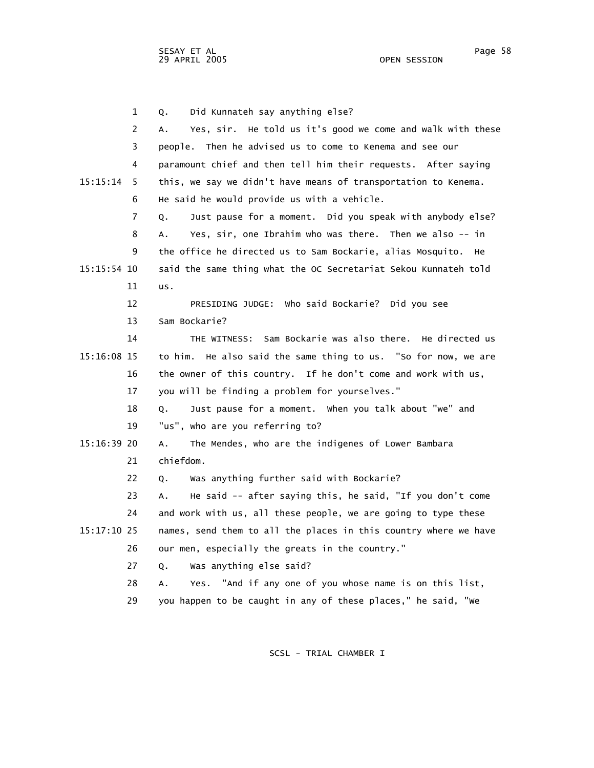SESAY ET AL Page 58 29 APRIL 2005

 1 Q. Did Kunnateh say anything else? 2 A. Yes, sir. He told us it's good we come and walk with these 3 people. Then he advised us to come to Kenema and see our 4 paramount chief and then tell him their requests. After saying 15:15:14 5 this, we say we didn't have means of transportation to Kenema. 6 He said he would provide us with a vehicle. 7 Q. Just pause for a moment. Did you speak with anybody else? 8 A. Yes, sir, one Ibrahim who was there. Then we also -- in 9 the office he directed us to Sam Bockarie, alias Mosquito. He 15:15:54 10 said the same thing what the OC Secretariat Sekou Kunnateh told 11 us. 12 PRESIDING JUDGE: Who said Bockarie? Did you see 13 Sam Bockarie? 14 THE WITNESS: Sam Bockarie was also there. He directed us 15:16:08 15 to him. He also said the same thing to us. "So for now, we are 16 the owner of this country. If he don't come and work with us, 17 you will be finding a problem for yourselves." 18 Q. Just pause for a moment. When you talk about "we" and 19 "us", who are you referring to? 15:16:39 20 A. The Mendes, who are the indigenes of Lower Bambara 21 chiefdom. 22 Q. Was anything further said with Bockarie? 23 A. He said -- after saying this, he said, "If you don't come 24 and work with us, all these people, we are going to type these 15:17:10 25 names, send them to all the places in this country where we have 26 our men, especially the greats in the country." 27 Q. Was anything else said? 28 A. Yes. "And if any one of you whose name is on this list,

SCSL - TRIAL CHAMBER I

29 you happen to be caught in any of these places," he said, "We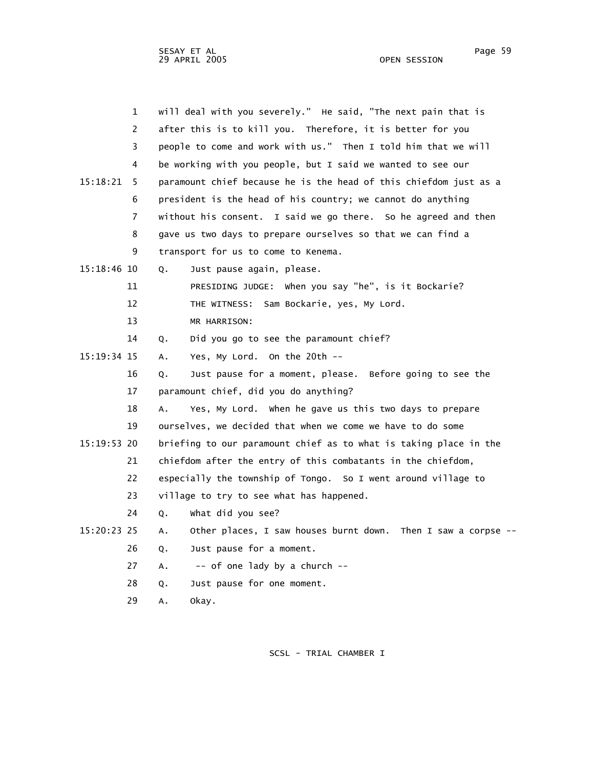|               | $\mathbf{1}$   | will deal with you severely." He said, "The next pain that is       |
|---------------|----------------|---------------------------------------------------------------------|
|               | $\overline{2}$ | after this is to kill you. Therefore, it is better for you          |
|               | 3              | people to come and work with us." Then I told him that we will      |
|               | 4              | be working with you people, but I said we wanted to see our         |
| 15:18:21      | 5              | paramount chief because he is the head of this chiefdom just as a   |
|               | 6              | president is the head of his country; we cannot do anything         |
|               | $\overline{7}$ | without his consent. I said we go there. So he agreed and then      |
|               | 8              | gave us two days to prepare ourselves so that we can find a         |
|               | 9              | transport for us to come to Kenema.                                 |
| $15:18:46$ 10 |                | Just pause again, please.<br>Q.                                     |
|               | 11             | PRESIDING JUDGE: When you say "he", is it Bockarie?                 |
|               | 12             | THE WITNESS: Sam Bockarie, yes, My Lord.                            |
|               | 13             | MR HARRISON:                                                        |
|               | 14             | Did you go to see the paramount chief?<br>Q.                        |
| 15:19:34 15   |                | Yes, My Lord. On the 20th --<br>Α.                                  |
|               | 16             | Just pause for a moment, please. Before going to see the<br>Q.      |
|               | 17             | paramount chief, did you do anything?                               |
|               | 18             | A.<br>Yes, My Lord. When he gave us this two days to prepare        |
|               | 19             | ourselves, we decided that when we come we have to do some          |
| $15:19:53$ 20 |                | briefing to our paramount chief as to what is taking place in the   |
|               | 21             | chiefdom after the entry of this combatants in the chiefdom,        |
|               | 22             | especially the township of Tongo. So I went around village to       |
|               | 23             | village to try to see what has happened.                            |
|               | 24             | What did you see?<br>Q.                                             |
| 15:20:23 25   |                | Other places, I saw houses burnt down. Then I saw a corpse --<br>А. |
|               | 26             | Just pause for a moment.<br>Q.                                      |
|               | 27             | -- of one lady by a church --<br>А.                                 |
|               | 28             | Just pause for one moment.<br>Q.                                    |
|               |                |                                                                     |

29 A. Okay.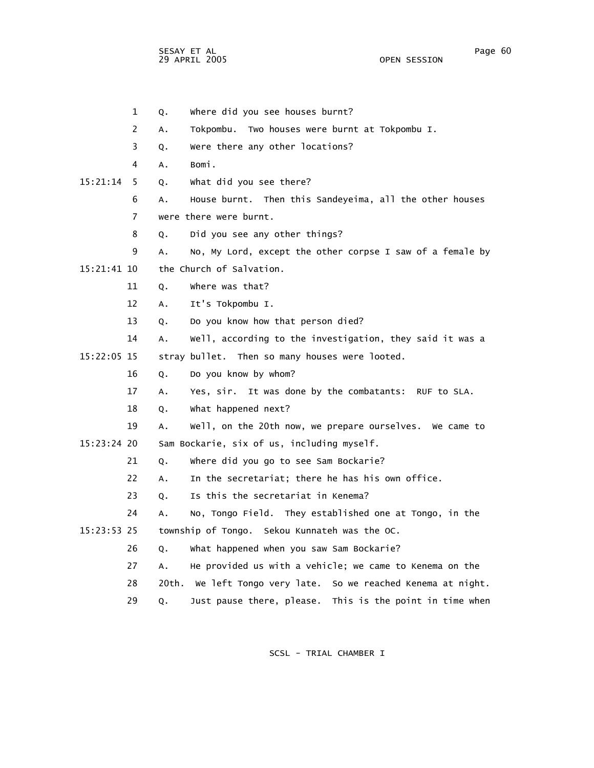SESAY ET AL Page 60 29 APRIL 2005

 1 Q. Where did you see houses burnt? 2 A. Tokpombu. Two houses were burnt at Tokpombu I. 3 Q. Were there any other locations? 4 A. Bomi. 15:21:14 5 Q. What did you see there? 6 A. House burnt. Then this Sandeyeima, all the other houses 7 were there were burnt. 8 Q. Did you see any other things? 9 A. No, My Lord, except the other corpse I saw of a female by 15:21:41 10 the Church of Salvation. 11 Q. Where was that? 12 A. It's Tokpombu I. 13 Q. Do you know how that person died? 14 A. Well, according to the investigation, they said it was a 15:22:05 15 stray bullet. Then so many houses were looted. 16 Q. Do you know by whom? 17 A. Yes, sir. It was done by the combatants: RUF to SLA. 18 Q. What happened next? 19 A. Well, on the 20th now, we prepare ourselves. We came to 15:23:24 20 Sam Bockarie, six of us, including myself. 21 Q. Where did you go to see Sam Bockarie? 22 A. In the secretariat; there he has his own office. 23 Q. Is this the secretariat in Kenema? 24 A. No, Tongo Field. They established one at Tongo, in the 15:23:53 25 township of Tongo. Sekou Kunnateh was the OC. 26 Q. What happened when you saw Sam Bockarie? 27 A. He provided us with a vehicle; we came to Kenema on the 28 20th. We left Tongo very late. So we reached Kenema at night. 29 Q. Just pause there, please. This is the point in time when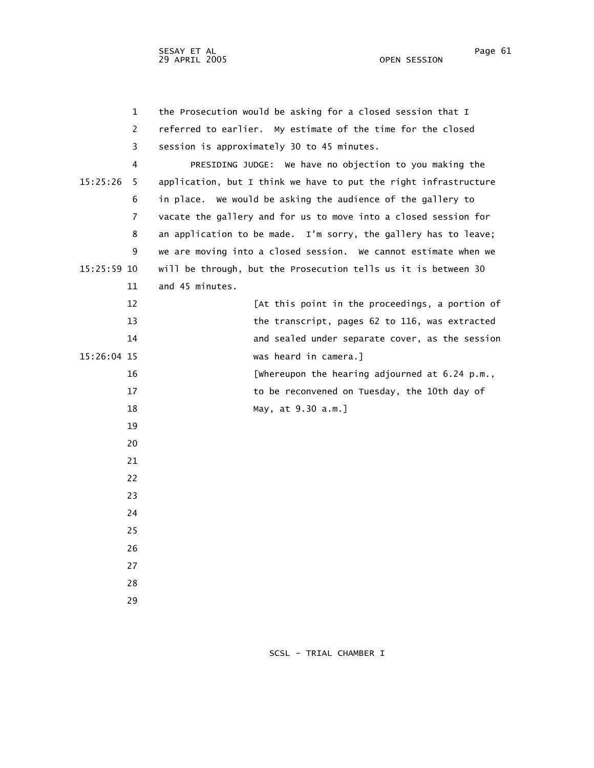| $\mathbf{1}$   | the Prosecution would be asking for a closed session that I      |
|----------------|------------------------------------------------------------------|
| 2              | referred to earlier. My estimate of the time for the closed      |
| 3              | session is approximately 30 to 45 minutes.                       |
| 4              | PRESIDING JUDGE: We have no objection to you making the          |
| 15:25:26<br>5  | application, but I think we have to put the right infrastructure |
| 6              | in place. We would be asking the audience of the gallery to      |
| $\overline{7}$ | vacate the gallery and for us to move into a closed session for  |
| 8              | an application to be made. I'm sorry, the gallery has to leave;  |
| 9              | we are moving into a closed session. We cannot estimate when we  |
| 15:25:59 10    | will be through, but the Prosecution tells us it is between 30   |
| 11             | and 45 minutes.                                                  |
| 12             | [At this point in the proceedings, a portion of                  |
| 13             | the transcript, pages 62 to 116, was extracted                   |
| 14             | and sealed under separate cover, as the session                  |
| 15:26:04 15    | was heard in camera.]                                            |
| 16             | [whereupon the hearing adjourned at 6.24 p.m.,                   |
| 17             | to be reconvened on Tuesday, the 10th day of                     |
| 18             | May, at 9.30 a.m.]                                               |
| 19             |                                                                  |
| 20             |                                                                  |
| 21             |                                                                  |
| 22             |                                                                  |
| 23             |                                                                  |
| 24             |                                                                  |
| 25             |                                                                  |
| 26             |                                                                  |
| 27             |                                                                  |
| 28             |                                                                  |
| 29             |                                                                  |